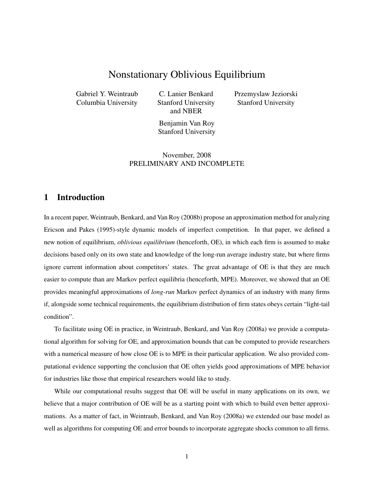# Nonstationary Oblivious Equilibrium

Gabriel Y. Weintraub Columbia University

C. Lanier Benkard Stanford University and NBER

Przemyslaw Jeziorski Stanford University

Benjamin Van Roy Stanford University

November, 2008 PRELIMINARY AND INCOMPLETE

# 1 Introduction

In a recent paper, Weintraub, Benkard, and Van Roy (2008b) propose an approximation method for analyzing Ericson and Pakes (1995)-style dynamic models of imperfect competition. In that paper, we defined a new notion of equilibrium, *oblivious equilibrium* (henceforth, OE), in which each firm is assumed to make decisions based only on its own state and knowledge of the long-run average industry state, but where firms ignore current information about competitors' states. The great advantage of OE is that they are much easier to compute than are Markov perfect equilibria (henceforth, MPE). Moreover, we showed that an OE provides meaningful approximations of *long-run* Markov perfect dynamics of an industry with many firms if, alongside some technical requirements, the equilibrium distribution of firm states obeys certain "light-tail condition".

To facilitate using OE in practice, in Weintraub, Benkard, and Van Roy (2008a) we provide a computational algorithm for solving for OE, and approximation bounds that can be computed to provide researchers with a numerical measure of how close OE is to MPE in their particular application. We also provided computational evidence supporting the conclusion that OE often yields good approximations of MPE behavior for industries like those that empirical researchers would like to study.

While our computational results suggest that OE will be useful in many applications on its own, we believe that a major contribution of OE will be as a starting point with which to build even better approximations. As a matter of fact, in Weintraub, Benkard, and Van Roy (2008a) we extended our base model as well as algorithms for computing OE and error bounds to incorporate aggregate shocks common to all firms.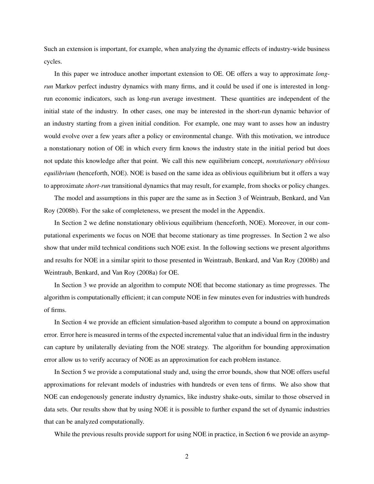Such an extension is important, for example, when analyzing the dynamic effects of industry-wide business cycles.

In this paper we introduce another important extension to OE. OE offers a way to approximate *longrun* Markov perfect industry dynamics with many firms, and it could be used if one is interested in longrun economic indicators, such as long-run average investment. These quantities are independent of the initial state of the industry. In other cases, one may be interested in the short-run dynamic behavior of an industry starting from a given initial condition. For example, one may want to asses how an industry would evolve over a few years after a policy or environmental change. With this motivation, we introduce a nonstationary notion of OE in which every firm knows the industry state in the initial period but does not update this knowledge after that point. We call this new equilibrium concept, *nonstationary oblivious equilibrium* (henceforth, NOE). NOE is based on the same idea as oblivious equilibrium but it offers a way to approximate *short-run* transitional dynamics that may result, for example, from shocks or policy changes.

The model and assumptions in this paper are the same as in Section 3 of Weintraub, Benkard, and Van Roy (2008b). For the sake of completeness, we present the model in the Appendix.

In Section 2 we define nonstationary oblivious equilibrium (henceforth, NOE). Moreover, in our computational experiments we focus on NOE that become stationary as time progresses. In Section 2 we also show that under mild technical conditions such NOE exist. In the following sections we present algorithms and results for NOE in a similar spirit to those presented in Weintraub, Benkard, and Van Roy (2008b) and Weintraub, Benkard, and Van Roy (2008a) for OE.

In Section 3 we provide an algorithm to compute NOE that become stationary as time progresses. The algorithm is computationally efficient; it can compute NOE in few minutes even for industries with hundreds of firms.

In Section 4 we provide an efficient simulation-based algorithm to compute a bound on approximation error. Error here is measured in terms of the expected incremental value that an individual firm in the industry can capture by unilaterally deviating from the NOE strategy. The algorithm for bounding approximation error allow us to verify accuracy of NOE as an approximation for each problem instance.

In Section 5 we provide a computational study and, using the error bounds, show that NOE offers useful approximations for relevant models of industries with hundreds or even tens of firms. We also show that NOE can endogenously generate industry dynamics, like industry shake-outs, similar to those observed in data sets. Our results show that by using NOE it is possible to further expand the set of dynamic industries that can be analyzed computationally.

While the previous results provide support for using NOE in practice, in Section 6 we provide an asymp-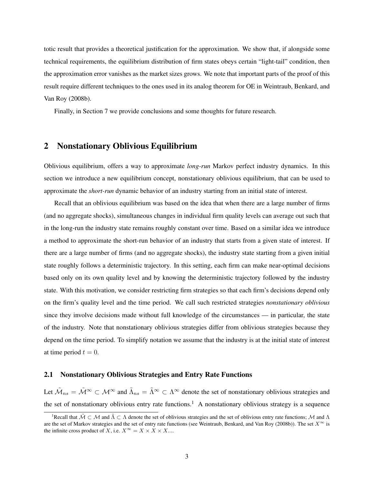totic result that provides a theoretical justification for the approximation. We show that, if alongside some technical requirements, the equilibrium distribution of firm states obeys certain "light-tail" condition, then the approximation error vanishes as the market sizes grows. We note that important parts of the proof of this result require different techniques to the ones used in its analog theorem for OE in Weintraub, Benkard, and Van Roy (2008b).

Finally, in Section 7 we provide conclusions and some thoughts for future research.

# 2 Nonstationary Oblivious Equilibrium

Oblivious equilibrium, offers a way to approximate *long-run* Markov perfect industry dynamics. In this section we introduce a new equilibrium concept, nonstationary oblivious equilibrium, that can be used to approximate the *short-run* dynamic behavior of an industry starting from an initial state of interest.

Recall that an oblivious equilibrium was based on the idea that when there are a large number of firms (and no aggregate shocks), simultaneous changes in individual firm quality levels can average out such that in the long-run the industry state remains roughly constant over time. Based on a similar idea we introduce a method to approximate the short-run behavior of an industry that starts from a given state of interest. If there are a large number of firms (and no aggregate shocks), the industry state starting from a given initial state roughly follows a deterministic trajectory. In this setting, each firm can make near-optimal decisions based only on its own quality level and by knowing the deterministic trajectory followed by the industry state. With this motivation, we consider restricting firm strategies so that each firm's decisions depend only on the firm's quality level and the time period. We call such restricted strategies *nonstationary oblivious* since they involve decisions made without full knowledge of the circumstances — in particular, the state of the industry. Note that nonstationary oblivious strategies differ from oblivious strategies because they depend on the time period. To simplify notation we assume that the industry is at the initial state of interest at time period  $t = 0$ .

## 2.1 Nonstationary Oblivious Strategies and Entry Rate Functions

Let  $\tilde{M}_{ns} = \tilde{M}^{\infty} \subset M^{\infty}$  and  $\tilde{\Lambda}_{ns} = \tilde{\Lambda}^{\infty} \subset \Lambda^{\infty}$  denote the set of nonstationary oblivious strategies and the set of nonstationary oblivious entry rate functions.<sup>1</sup> A nonstationary oblivious strategy is a sequence

<sup>&</sup>lt;sup>1</sup>Recall that  $\tilde{M} \subset M$  and  $\tilde{\Lambda} \subset \Lambda$  denote the set of oblivious strategies and the set of oblivious entry rate functions; M and  $\Lambda$ are the set of Markov strategies and the set of entry rate functions (see Weintraub, Benkard, and Van Roy (2008b)). The set  $X^{\infty}$  is the infinite cross product of X, i.e.  $X^{\infty} = X \times X \times X$ ....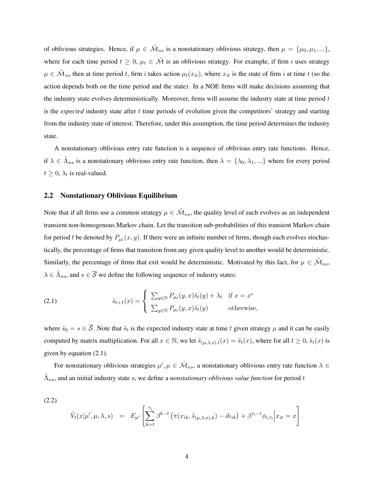of oblivious strategies. Hence, if  $\mu \in \tilde{\mathcal{M}}_{ns}$  is a nonstationary oblivious strategy, then  $\mu = {\mu_0, \mu_1, ...\}$ , where for each time period  $t \geq 0$ ,  $\mu_t \in \tilde{\mathcal{M}}$  is an oblivious strategy. For example, if firm i uses strategy  $\mu \in \tilde{\mathcal{M}}_{ns}$  then at time period t, firm i takes action  $\mu_t(x_{it})$ , where  $x_{it}$  is the state of firm i at time t (so the action depends both on the time period and the state). In a NOE firms will make decisions assuming that the industry state evolves deterministically. Moreover, firms will assume the industry state at time period t is the *expected* industry state after t time periods of evolution given the competitors' strategy and starting from the industry state of interest. Therefore, under this assumption, the time period determines the industry state.

A nonstationary oblivious entry rate function is a sequence of oblivious entry rate functions. Hence, if  $\lambda \in \tilde{\Lambda}_{ns}$  is a nonstationary oblivious entry rate function, then  $\lambda = \{\lambda_0, \lambda_1, ...\}$  where for every period  $t \geq 0$ ,  $\lambda_t$  is real-valued.

### 2.2 Nonstationary Oblivious Equilibrium

Note that if all firms use a common strategy  $\mu \in \tilde{\mathcal{M}}_{ns}$ , the quality level of each evolves as an independent transient non-homogenous Markov chain. Let the transition sub-probabilities of this transient Markov chain for period t be denoted by  $P_{\mu_t}(x, y)$ . If there were an infinite number of firms, though each evolves stochastically, the percentage of firms that transition from any given quality level to another would be deterministic. Similarly, the percentage of firms that exit would be deterministic. Motivated by this fact, for  $\mu \in \tilde{\mathcal{M}}_{ns}$ ,  $\lambda \in \tilde{\Lambda}_{ns}$ , and  $s \in \overline{\mathcal{S}}$  we define the following sequence of industry states:

(2.1) 
$$
\tilde{s}_{t+1}(x) = \begin{cases} \sum_{y \in \mathbb{N}} P_{\mu_t}(y, x) \tilde{s}_t(y) + \lambda_t & \text{if } x = x^e \\ \sum_{y \in \mathbb{N}} P_{\mu_t}(y, x) \tilde{s}_t(y) & \text{otherwise,} \end{cases}
$$

where  $\tilde{s}_0 = s \in \overline{S}$ . Note that  $\tilde{s}_t$  is the expected industry state at time t given strategy  $\mu$  and it can be easily computed by matrix multiplication. For all  $x \in \mathbb{N}$ , we let  $\tilde{s}_{(\mu,\lambda,s),t}(x) = \tilde{s}_t(x)$ , where for all  $t \geq 0$ ,  $\tilde{s}_t(x)$  is given by equation (2.1).

For nonstationary oblivious strategies  $\mu', \mu \in \tilde{\mathcal{M}}_{ns}$ , a nonstationary oblivious entry rate function  $\lambda \in$  $\tilde{\Lambda}_{ns}$ , and an initial industry state s, we define a *nonstationary oblivious value function* for period t

(2.2)

$$
\tilde{V}_t(x|\mu',\mu,\lambda,s) = E_{\mu'}\left[\sum_{k=t}^{\tau_i} \beta^{k-t} \left(\pi(x_{ik},\tilde{s}_{(\mu,\lambda,s),k}) - d\iota_{ik}\right) + \beta^{\tau_i-t} \phi_{i,\tau_i}\Big| x_{it} = x\right].
$$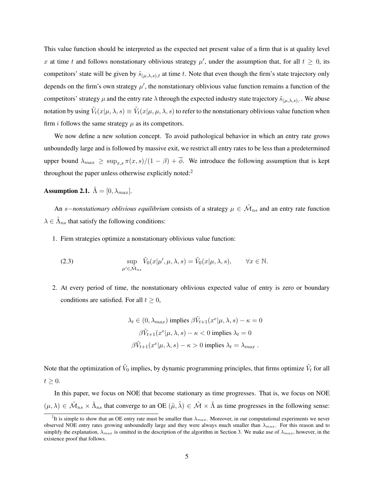This value function should be interpreted as the expected net present value of a firm that is at quality level x at time t and follows nonstationary oblivious strategy  $\mu'$ , under the assumption that, for all  $t \geq 0$ , its competitors' state will be given by  $\tilde{s}_{(\mu,\lambda,s),t}$  at time t. Note that even though the firm's state trajectory only depends on the firm's own strategy  $\mu'$ , the nonstationary oblivious value function remains a function of the competitors' strategy  $\mu$  and the entry rate  $\lambda$  through the expected industry state trajectory  $\tilde{s}_{(\mu,\lambda,s),\cdot}$ . We abuse notation by using  $\tilde V_t(x|\mu,\lambda,s)\equiv \tilde V_t(x|\mu,\mu,\lambda,s)$  to refer to the nonstationary oblivious value function when firm *i* follows the same strategy  $\mu$  as its competitors.

We now define a new solution concept. To avoid pathological behavior in which an entry rate grows unboundedly large and is followed by massive exit, we restrict all entry rates to be less than a predetermined upper bound  $\lambda_{max} \geq \sup_{x,s} \pi(x,s)/(1-\beta) + \overline{\phi}$ . We introduce the following assumption that is kept throughout the paper unless otherwise explicitly noted:<sup>2</sup>

**Assumption 2.1.**  $\tilde{\Lambda} = [0, \lambda_{max}]$ .

An s–*nonstationary oblivious equilibrium* consists of a strategy  $\mu \in \tilde{\mathcal{M}}_{ns}$  and an entry rate function  $\lambda \in \tilde{\Lambda}_{ns}$  that satisfy the following conditions:

1. Firm strategies optimize a nonstationary oblivious value function:

(2.3) 
$$
\sup_{\mu' \in \tilde{\mathcal{M}}_{ns}} \tilde{V}_0(x | \mu', \mu, \lambda, s) = \tilde{V}_0(x | \mu, \lambda, s), \qquad \forall x \in \mathbb{N}.
$$

2. At every period of time, the nonstationary oblivious expected value of entry is zero or boundary conditions are satisfied. For all  $t \geq 0$ ,

$$
\lambda_t \in (0, \lambda_{max}) \text{ implies } \beta \tilde{V}_{t+1}(x^e | \mu, \lambda, s) - \kappa = 0
$$

$$
\beta \tilde{V}_{t+1}(x^e | \mu, \lambda, s) - \kappa < 0 \text{ implies } \lambda_t = 0
$$

$$
\beta \tilde{V}_{t+1}(x^e | \mu, \lambda, s) - \kappa > 0 \text{ implies } \lambda_t = \lambda_{max} \, .
$$

Note that the optimization of  $\tilde{V}_0$  implies, by dynamic programming principles, that firms optimize  $\tilde{V}_t$  for all  $t \geq 0$ .

In this paper, we focus on NOE that become stationary as time progresses. That is, we focus on NOE  $(\mu, \lambda) \in \tilde{\mathcal{M}}_{ns} \times \tilde{\Lambda}_{ns}$  that converge to an OE  $(\tilde{\mu}, \tilde{\lambda}) \in \tilde{\mathcal{M}} \times \tilde{\Lambda}$  as time progresses in the following sense:

<sup>&</sup>lt;sup>2</sup>It is simple to show that an OE entry rate must be smaller than  $\lambda_{max}$ . Moreover, in our computational experiments we never observed NOE entry rates growing unboundedly large and they were always much smaller than  $\lambda_{max}$ . For this reason and to simplify the explanation,  $\lambda_{max}$  is omitted in the description of the algorithm in Section 3. We make use of  $\lambda_{max}$ , however, in the existence proof that follows.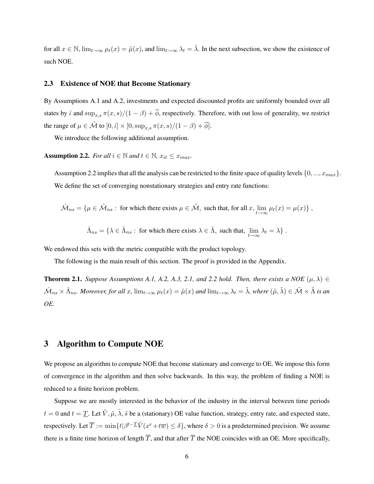for all  $x \in \mathbb{N}$ ,  $\lim_{t\to\infty} \mu_t(x) = \tilde{\mu}(x)$ , and  $\lim_{t\to\infty} \lambda_t = \tilde{\lambda}$ . In the next subsection, we show the existence of such NOE.

## 2.3 Existence of NOE that Become Stationary

By Assumptions A.1 and A.2, investments and expected discounted profits are uniformly bounded over all states by  $\hat{\iota}$  and  $\sup_{x,s}\pi(x,s)/(1-\beta)+\overline{\phi}$ , respectively. Therefore, with out loss of generality, we restrict the range of  $\mu \in \tilde{\mathcal{M}}$  to  $[0, \hat{\iota}] \times [0, \sup_{x,s} \pi(x, s)/(1 - \beta) + \overline{\phi}]$ .

We introduce the following additional assumption.

Assumption 2.2. *For all*  $i \in \mathbb{N}$  *and*  $t \in \mathbb{N}$ *,*  $x_{it} \leq x_{max}$ *.* 

Assumption 2.2 implies that all the analysis can be restricted to the finite space of quality levels  $\{0, ..., x_{max}\}.$ We define the set of converging nonstationary strategies and entry rate functions:

$$
\hat{\mathcal{M}}_{ns} = \{ \mu \in \tilde{\mathcal{M}}_{ns} : \text{ for which there exists } \mu \in \tilde{\mathcal{M}}, \text{ such that, for all } x, \lim_{t \to \infty} \mu_t(x) = \mu(x) \},
$$

$$
\hat{\Lambda}_{ns} = \{ \lambda \in \tilde{\Lambda}_{ns} : \text{ for which there exists } \lambda \in \tilde{\Lambda}, \text{ such that, } \lim_{t \to \infty} \lambda_t = \lambda \}.
$$

We endowed this sets with the metric compatible with the product topology.

The following is the main result of this section. The proof is provided in the Appendix.

**Theorem 2.1.** *Suppose Assumptions A.1, A.2, A.3, 2.1, and 2.2 hold. Then, there exists a NOE*  $(\mu, \lambda) \in$  $\hat{\mathcal{M}}_{ns}\times \hat{\Lambda}_{ns}$ *. Moreover, for all x,*  $\lim_{t\to\infty}\mu_t(x)=\tilde{\mu}(x)$  and  $\lim_{t\to\infty}\lambda_t=\tilde{\lambda}$ *, where*  $(\tilde{\mu},\tilde{\lambda})\in \tilde{\mathcal{M}}\times \tilde{\Lambda}$  is an *OE.*

# 3 Algorithm to Compute NOE

We propose an algorithm to compute NOE that become stationary and converge to OE. We impose this form of convergence in the algorithm and then solve backwards. In this way, the problem of finding a NOE is reduced to a finite horizon problem.

Suppose we are mostly interested in the behavior of the industry in the interval between time periods  $t = 0$  and  $t = T$ . Let  $\tilde{V}, \tilde{\mu}, \tilde{\lambda}, \tilde{s}$  be a (stationary) OE value function, strategy, entry rate, and expected state, respectively. Let  $\overline{T} := \min\{t|\beta^{t-1} \tilde{V}(x^e + t\overline{w}) \le \delta\}$ , where  $\delta > 0$  is a predetermined precision. We assume there is a finite time horizon of length  $\overline{T}$ , and that after  $\overline{T}$  the NOE coincides with an OE. More specifically,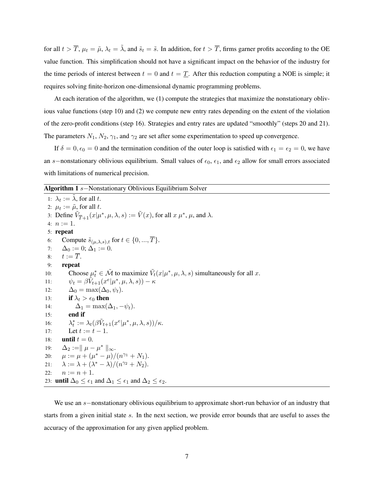for all  $t > \overline{T}$ ,  $\mu_t = \tilde{\mu}$ ,  $\lambda_t = \tilde{\lambda}$ , and  $\tilde{s}_t = \tilde{s}$ . In addition, for  $t > \overline{T}$ , firms garner profits according to the OE value function. This simplification should not have a significant impact on the behavior of the industry for the time periods of interest between  $t = 0$  and  $t = T$ . After this reduction computing a NOE is simple; it requires solving finite-horizon one-dimensional dynamic programming problems.

At each iteration of the algorithm, we (1) compute the strategies that maximize the nonstationary oblivious value functions (step 10) and (2) we compute new entry rates depending on the extent of the violation of the zero-profit conditions (step 16). Strategies and entry rates are updated "smoothly" (steps 20 and 21). The parameters  $N_1$ ,  $N_2$ ,  $\gamma_1$ , and  $\gamma_2$  are set after some experimentation to speed up convergence.

If  $\delta = 0, \epsilon_0 = 0$  and the termination condition of the outer loop is satisfied with  $\epsilon_1 = \epsilon_2 = 0$ , we have an s−nonstationary oblivious equilibrium. Small values of  $\epsilon_0$ ,  $\epsilon_1$ , and  $\epsilon_2$  allow for small errors associated with limitations of numerical precision.

#### Algorithm 1 s–Nonstationary Oblivious Equilibrium Solver

1:  $\lambda_t := \tilde{\lambda}$ , for all t. 2:  $\mu_t := \tilde{\mu}$ , for all t. 3: Define  $\tilde{V}_{\overline{T}+1}(x|\mu^*,\mu,\lambda,s) := \tilde{V}(x)$ , for all  $x \mu^*, \mu$ , and  $\lambda$ . 4:  $n := 1$ . 5: repeat 6: Compute  $\tilde{s}_{(\mu,\lambda,s),t}$  for  $t \in \{0, ..., \overline{T}\}.$ 7:  $\Delta_0 := 0; \Delta_1 := 0.$ 8:  $t := T$ . 9: repeat 10: Choose  $\mu_t^* \in \tilde{\mathcal{M}}$  to maximize  $\tilde{V}_t(x|\mu^*, \mu, \lambda, s)$  simultaneously for all x. 11:  $\psi_t = \beta \tilde{V}_{t+1}(x^e | \mu^*, \mu, \lambda, s)) - \kappa$ 12:  $\Delta_0 = \max(\Delta_0, \psi_t).$ 13: if  $\lambda_t > \epsilon_0$  then 14:  $\Delta_1 = \max(\Delta_1, -\psi_t).$  $15:$  end if 16: λ  $t^* := \lambda_t(\beta \tilde{V}_{t+1}(x^e | \mu^*, \mu, \lambda, s)) / \kappa.$ 17: Let  $t := t - 1$ . 18: **until**  $t = 0$ . 19:  $\Delta_2 := || \mu - \mu^* ||_{\infty}.$ 20:  $\mu := \mu + (\mu^* - \mu)/(n^{\gamma_1} + N_1).$ 21:  $\lambda := \lambda + (\lambda^* - \lambda)/(n^{\gamma_2} + N_2).$ 22:  $n := n + 1$ . 23: **until**  $\Delta_0 \leq \epsilon_1$  and  $\Delta_1 \leq \epsilon_1$  and  $\Delta_2 \leq \epsilon_2$ .

We use an s−nonstationary oblivious equilibrium to approximate short-run behavior of an industry that starts from a given initial state s. In the next section, we provide error bounds that are useful to asses the accuracy of the approximation for any given applied problem.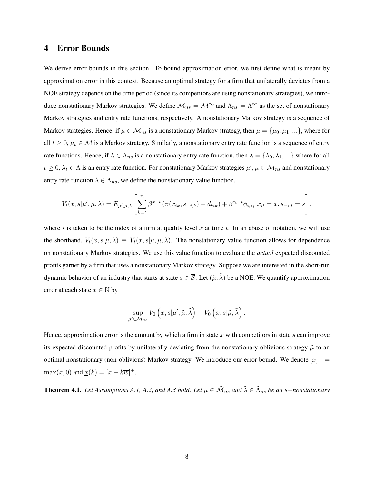# 4 Error Bounds

We derive error bounds in this section. To bound approximation error, we first define what is meant by approximation error in this context. Because an optimal strategy for a firm that unilaterally deviates from a NOE strategy depends on the time period (since its competitors are using nonstationary strategies), we introduce nonstationary Markov strategies. We define  $\mathcal{M}_{ns} = \mathcal{M}^{\infty}$  and  $\Lambda_{ns} = \Lambda^{\infty}$  as the set of nonstationary Markov strategies and entry rate functions, respectively. A nonstationary Markov strategy is a sequence of Markov strategies. Hence, if  $\mu \in \mathcal{M}_{ns}$  is a nonstationary Markov strategy, then  $\mu = {\mu_0, \mu_1, ...\}$ , where for all  $t \geq 0$ ,  $\mu_t \in \mathcal{M}$  is a Markov strategy. Similarly, a nonstationary entry rate function is a sequence of entry rate functions. Hence, if  $\lambda \in \Lambda_{ns}$  is a nonstationary entry rate function, then  $\lambda = {\lambda_0, \lambda_1, ...}$  where for all  $t \geq 0$ ,  $\lambda_t \in \Lambda$  is an entry rate function. For nonstationary Markov strategies  $\mu', \mu \in \mathcal{M}_{ns}$  and nonstationary entry rate function  $\lambda \in \Lambda_{ns}$ , we define the nonstationary value function,

$$
V_t(x, s | \mu', \mu, \lambda) = E_{\mu', \mu, \lambda} \left[ \sum_{k=t}^{\tau_i} \beta^{k-t} \left( \pi(x_{ik}, s_{-i,k}) - d\mu_{ik} \right) + \beta^{\tau_i - t} \phi_{i, \tau_i} \middle| x_{it} = x, s_{-i, t} = s \right],
$$

where i is taken to be the index of a firm at quality level x at time t. In an abuse of notation, we will use the shorthand,  $V_t(x, s | \mu, \lambda) \equiv V_t(x, s | \mu, \mu, \lambda)$ . The nonstationary value function allows for dependence on nonstationary Markov strategies. We use this value function to evaluate the *actual* expected discounted profits garner by a firm that uses a nonstationary Markov strategy. Suppose we are interested in the short-run dynamic behavior of an industry that starts at state  $s \in \overline{S}$ . Let  $(\tilde{\mu}, \tilde{\lambda})$  be a NOE. We quantify approximation error at each state  $x \in \mathbb{N}$  by

$$
\sup_{\mu' \in \mathcal{M}_{ns}} V_0 \left( x, s | \mu', \tilde{\mu}, \tilde{\lambda} \right) - V_0 \left( x, s | \tilde{\mu}, \tilde{\lambda} \right).
$$

Hence, approximation error is the amount by which a firm in state x with competitors in state s can improve its expected discounted profits by unilaterally deviating from the nonstationary oblivious strategy  $\tilde{\mu}$  to an optimal nonstationary (non-oblivious) Markov strategy. We introduce our error bound. We denote  $|x|^+$  =  $\max(x, 0)$  and  $\underline{x}(k) = [x - k\overline{w}]^+$ .

**Theorem 4.1.** Let Assumptions A.1, A.2, and A.3 hold. Let  $\tilde{\mu} \in \tilde{\mathcal{M}}_{ns}$  and  $\tilde{\lambda} \in \tilde{\Lambda}_{ns}$  be an s–nonstationary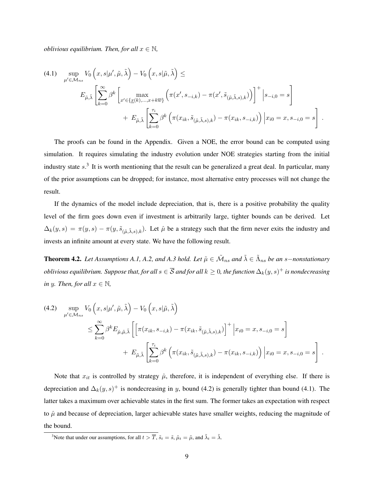*oblivious equilibrium. Then, for all*  $x \in \mathbb{N}$ *,* 

$$
(4.1) \quad \sup_{\mu' \in \mathcal{M}_{ns}} V_0 \left( x, s | \mu', \tilde{\mu}, \tilde{\lambda} \right) - V_0 \left( x, s | \tilde{\mu}, \tilde{\lambda} \right) \le
$$
\n
$$
E_{\tilde{\mu}, \tilde{\lambda}} \left[ \sum_{k=0}^{\infty} \beta^k \left[ \max_{x' \in \{\underline{x}(k), \dots, x + k\overline{w}\}} \left( \pi(x', s_{-i,k}) - \pi(x', \tilde{s}_{(\tilde{\mu}, \tilde{\lambda}, s), k}) \right) \right]^+ \Big| s_{-i, 0} = s \right]
$$
\n
$$
+ E_{\tilde{\mu}, \tilde{\lambda}} \left[ \sum_{k=0}^{\tau_i} \beta^k \left( \pi(x_{ik}, \tilde{s}_{(\tilde{\mu}, \tilde{\lambda}, s), k}) - \pi(x_{ik}, s_{-i,k}) \right) \Big| x_{i0} = x, s_{-i, 0} = s \right].
$$

The proofs can be found in the Appendix. Given a NOE, the error bound can be computed using simulation. It requires simulating the industry evolution under NOE strategies starting from the initial industry state  $s^3$ . It is worth mentioning that the result can be generalized a great deal. In particular, many of the prior assumptions can be dropped; for instance, most alternative entry processes will not change the result.

If the dynamics of the model include depreciation, that is, there is a positive probability the quality level of the firm goes down even if investment is arbitrarily large, tighter bounds can be derived. Let  $\Delta_k(y, s) = \pi(y, s) - \pi(y, \tilde{s}_{(\tilde{\mu}, \tilde{\lambda}, s), k}).$  Let  $\hat{\mu}$  be a strategy such that the firm never exits the industry and invests an infinite amount at every state. We have the following result.

**Theorem 4.2.** Let Assumptions A.1, A.2, and A.3 hold. Let  $\tilde{\mu} \in \tilde{\mathcal{M}}_{ns}$  and  $\tilde{\lambda} \in \tilde{\Lambda}_{ns}$  be an s–nonstationary  $oblivious equilibrium.$  Suppose that, for all  $s\in\overline{\mathcal{S}}$  and for all  $k\geq0$ , the function  $\Delta_k(y,s)^+$  is nondecreasing *in* y. Then, for all  $x \in \mathbb{N}$ ,

(4.2) 
$$
\sup_{\mu' \in \mathcal{M}_{ns}} V_0 \left( x, s | \mu', \tilde{\mu}, \tilde{\lambda} \right) - V_0 \left( x, s | \tilde{\mu}, \tilde{\lambda} \right)
$$
  

$$
\leq \sum_{k=0}^{\infty} \beta^k E_{\hat{\mu}, \tilde{\mu}, \tilde{\lambda}} \left[ \left[ \pi(x_{ik}, s_{-i,k}) - \pi(x_{ik}, \tilde{s}_{(\tilde{\mu}, \tilde{\lambda}, s), k}) \right]^+ \Big| x_{i0} = x, s_{-i, 0} = s \right]
$$
  

$$
+ E_{\tilde{\mu}, \tilde{\lambda}} \left[ \sum_{k=0}^{\tau_i} \beta^k \left( \pi(x_{ik}, \tilde{s}_{(\tilde{\mu}, \tilde{\lambda}, s), k}) - \pi(x_{ik}, s_{-i,k}) \right) \Big| x_{i0} = x, s_{-i, 0} = s \right].
$$

Note that  $x_{it}$  is controlled by strategy  $\hat{\mu}$ , therefore, it is independent of everything else. If there is depreciation and  $\Delta_k(y, s)^+$  is nondecreasing in y, bound (4.2) is generally tighter than bound (4.1). The latter takes a maximum over achievable states in the first sum. The former takes an expectation with respect to  $\hat{\mu}$  and because of depreciation, larger achievable states have smaller weights, reducing the magnitude of the bound.

<sup>&</sup>lt;sup>3</sup>Note that under our assumptions, for all  $t > \overline{T}$ ,  $\tilde{s}_t = \tilde{s}$ ,  $\tilde{\mu}_t = \tilde{\mu}$ , and  $\tilde{\lambda}_t = \tilde{\lambda}$ .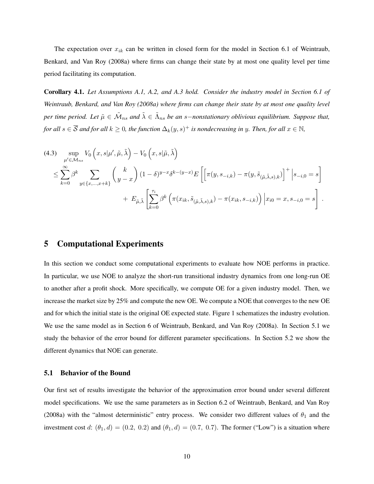The expectation over  $x_{ik}$  can be written in closed form for the model in Section 6.1 of Weintraub, Benkard, and Van Roy (2008a) where firms can change their state by at most one quality level per time period facilitating its computation.

Corollary 4.1. *Let Assumptions A.1, A.2, and A.3 hold. Consider the industry model in Section 6.1 of Weintraub, Benkard, and Van Roy (2008a) where firms can change their state by at most one quality level* per time period. Let  $\tilde{\mu} \in \tilde{\mathcal{M}}_{ns}$  and  $\tilde{\lambda} \in \tilde{\Lambda}_{ns}$  be an s–nonstationary oblivious equilibrium. Suppose that, for all  $s\in\overline{\mathcal{S}}$  and for all  $k\geq 0$ , the function  $\Delta_k(y,s)^+$  is nondecreasing in y. Then, for all  $x\in\mathbb{N}$ ,

(4.3) 
$$
\sup_{\mu' \in \mathcal{M}_{ns}} V_0 \left( x, s | \mu', \tilde{\mu}, \tilde{\lambda} \right) - V_0 \left( x, s | \tilde{\mu}, \tilde{\lambda} \right)
$$
  

$$
\leq \sum_{k=0}^{\infty} \beta^k \sum_{y \in \{x, ..., x+k\}} \binom{k}{y-x} (1-\delta)^{y-x} \delta^{k-(y-x)} E \left[ \left[ \pi(y, s_{-i,k}) - \pi(y, \tilde{s}_{(\tilde{\mu}, \tilde{\lambda}, s), k}) \right]^+ \Big| s_{-i,0} = s \right]
$$
  

$$
+ E_{\tilde{\mu}, \tilde{\lambda}} \left[ \sum_{k=0}^{\tau_i} \beta^k \left( \pi(x_{ik}, \tilde{s}_{(\tilde{\mu}, \tilde{\lambda}, s), k}) - \pi(x_{ik}, s_{-i,k}) \right) \Big| x_{i0} = x, s_{-i,0} = s \right].
$$

# 5 Computational Experiments

In this section we conduct some computational experiments to evaluate how NOE performs in practice. In particular, we use NOE to analyze the short-run transitional industry dynamics from one long-run OE to another after a profit shock. More specifically, we compute OE for a given industry model. Then, we increase the market size by 25% and compute the new OE. We compute a NOE that converges to the new OE and for which the initial state is the original OE expected state. Figure 1 schematizes the industry evolution. We use the same model as in Section 6 of Weintraub, Benkard, and Van Roy (2008a). In Section 5.1 we study the behavior of the error bound for different parameter specifications. In Section 5.2 we show the different dynamics that NOE can generate.

## 5.1 Behavior of the Bound

Our first set of results investigate the behavior of the approximation error bound under several different model specifications. We use the same parameters as in Section 6.2 of Weintraub, Benkard, and Van Roy (2008a) with the "almost deterministic" entry process. We consider two different values of  $\theta_1$  and the investment cost d:  $(\theta_1, d) = (0.2, 0.2)$  and  $(\theta_1, d) = (0.7, 0.7)$ . The former ("Low") is a situation where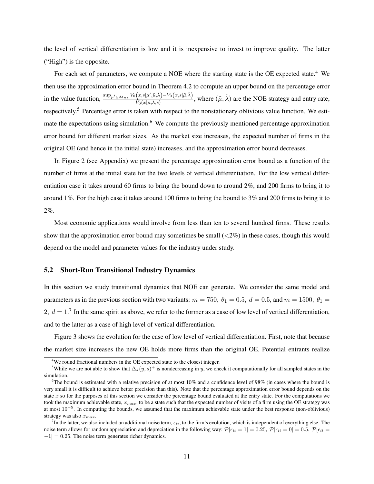the level of vertical differentiation is low and it is inexpensive to invest to improve quality. The latter ("High") is the opposite.

For each set of parameters, we compute a NOE where the starting state is the OE expected state.<sup>4</sup> We then use the approximation error bound in Theorem 4.2 to compute an upper bound on the percentage error in the value function,  $\frac{\sup_{\mu'\in\mathcal{M}_{ns}} V_0(x,s|\mu',\tilde{\mu},\tilde{\lambda}) - V_0(x,s|\tilde{\mu},\tilde{\lambda})}{\tilde{V}_0(x|\mu,\lambda,s)}$  $\frac{(x,s|\mu',\tilde{\mu},\lambda)-V_0(x,s|\tilde{\mu},\lambda)}{\tilde{V}_0(x|\mu,\lambda,s)}$ , where  $(\tilde{\mu},\tilde{\lambda})$  are the NOE strategy and entry rate, respectively.<sup>5</sup> Percentage error is taken with respect to the nonstationary oblivious value function. We estimate the expectations using simulation.<sup>6</sup> We compute the previously mentioned percentage approximation error bound for different market sizes. As the market size increases, the expected number of firms in the original OE (and hence in the initial state) increases, and the approximation error bound decreases.

In Figure 2 (see Appendix) we present the percentage approximation error bound as a function of the number of firms at the initial state for the two levels of vertical differentiation. For the low vertical differentiation case it takes around 60 firms to bring the bound down to around 2%, and 200 firms to bring it to around 1%. For the high case it takes around 100 firms to bring the bound to 3% and 200 firms to bring it to 2%.

Most economic applications would involve from less than ten to several hundred firms. These results show that the approximation error bound may sometimes be small  $\left(\langle 2\% \right)$  in these cases, though this would depend on the model and parameter values for the industry under study.

#### 5.2 Short-Run Transitional Industry Dynamics

In this section we study transitional dynamics that NOE can generate. We consider the same model and parameters as in the previous section with two variants:  $m = 750$ ,  $\theta_1 = 0.5$ ,  $d = 0.5$ , and  $m = 1500$ ,  $\theta_1 =$ 2,  $d = 1$ .<sup>7</sup> In the same spirit as above, we refer to the former as a case of low level of vertical differentiation, and to the latter as a case of high level of vertical differentiation.

Figure 3 shows the evolution for the case of low level of vertical differentiation. First, note that because the market size increases the new OE holds more firms than the original OE. Potential entrants realize

<sup>4</sup>We round fractional numbers in the OE expected state to the closest integer.

<sup>&</sup>lt;sup>5</sup>While we are not able to show that  $\Delta_k(y, s)^+$  is nondecreasing in y, we check it computationally for all sampled states in the simulation.

<sup>&</sup>lt;sup>6</sup>The bound is estimated with a relative precision of at most  $10\%$  and a confidence level of 98% (in cases where the bound is very small it is difficult to achieve better precision than this). Note that the percentage approximation error bound depends on the state  $x$  so for the purposes of this section we consider the percentage bound evaluated at the entry state. For the computations we took the maximum achievable state,  $x_{max}$ , to be a state such that the expected number of visits of a firm using the OE strategy was at most 10<sup>-5</sup>. In computing the bounds, we assumed that the maximum achievable state under the best response (non-oblivious) strategy was also  $x_{max}$ .

<sup>&</sup>lt;sup>7</sup>In the latter, we also included an additional noise term,  $\epsilon_{it}$ , to the firm's evolution, which is independent of everything else. The noise term allows for random appreciation and depreciation in the following way:  $\mathcal{P}[\epsilon_{it} = 1] = 0.25$ ,  $\mathcal{P}[\epsilon_{it} = 0] = 0.5$ ,  $\mathcal{P}[\epsilon_{it} = 0]$  $-1$ ] = 0.25. The noise term generates richer dynamics.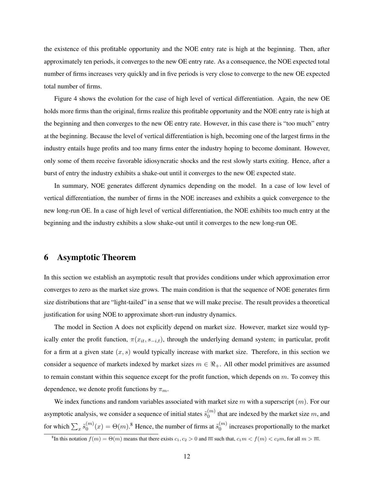the existence of this profitable opportunity and the NOE entry rate is high at the beginning. Then, after approximately ten periods, it converges to the new OE entry rate. As a consequence, the NOE expected total number of firms increases very quickly and in five periods is very close to converge to the new OE expected total number of firms.

Figure 4 shows the evolution for the case of high level of vertical differentiation. Again, the new OE holds more firms than the original, firms realize this profitable opportunity and the NOE entry rate is high at the beginning and then converges to the new OE entry rate. However, in this case there is "too much" entry at the beginning. Because the level of vertical differentiation is high, becoming one of the largest firms in the industry entails huge profits and too many firms enter the industry hoping to become dominant. However, only some of them receive favorable idiosyncratic shocks and the rest slowly starts exiting. Hence, after a burst of entry the industry exhibits a shake-out until it converges to the new OE expected state.

In summary, NOE generates different dynamics depending on the model. In a case of low level of vertical differentiation, the number of firms in the NOE increases and exhibits a quick convergence to the new long-run OE. In a case of high level of vertical differentiation, the NOE exhibits too much entry at the beginning and the industry exhibits a slow shake-out until it converges to the new long-run OE.

# 6 Asymptotic Theorem

In this section we establish an asymptotic result that provides conditions under which approximation error converges to zero as the market size grows. The main condition is that the sequence of NOE generates firm size distributions that are "light-tailed" in a sense that we will make precise. The result provides a theoretical justification for using NOE to approximate short-run industry dynamics.

The model in Section A does not explicitly depend on market size. However, market size would typically enter the profit function,  $\pi(x_{it}, s_{-i,t})$ , through the underlying demand system; in particular, profit for a firm at a given state  $(x, s)$  would typically increase with market size. Therefore, in this section we consider a sequence of markets indexed by market sizes  $m \in \mathbb{R}_+$ . All other model primitives are assumed to remain constant within this sequence except for the profit function, which depends on  $m$ . To convey this dependence, we denote profit functions by  $\pi_m$ .

We index functions and random variables associated with market size m with a superscript  $(m)$ . For our asymptotic analysis, we consider a sequence of initial states  $\tilde{s}_0^{(m)}$  $_0^{(m)}$  that are indexed by the market size m, and for which  $\sum_x \tilde{s}_0^{(m)}$  $\zeta_0^{(m)}(x) = \Theta(m)$ .<sup>8</sup> Hence, the number of firms at  $\tilde{\delta}_0^{(m)}$  $\binom{m}{0}$  increases proportionally to the market

<sup>&</sup>lt;sup>8</sup>In this notation  $f(m) = \Theta(m)$  means that there exists  $c_1, c_2 > 0$  and  $\overline{m}$  such that,  $c_1 m < f(m) < c_2 m$ , for all  $m > \overline{m}$ .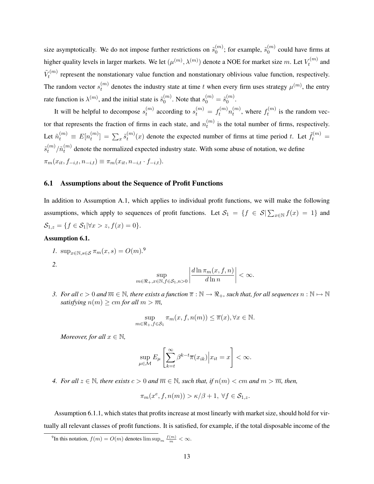size asymptotically. We do not impose further restrictions on  $\tilde{s}_0^{(m)}$  $\binom{m}{0}$ ; for example,  $\tilde{s}_0^{(m)}$  $\binom{m}{0}$  could have firms at higher quality levels in larger markets. We let  $(\mu^{(m)}, \lambda^{(m)})$  denote a NOE for market size m. Let  $V_t^{(m)}$  $t^{(m)}$  and  $\tilde{V}^{(m)}_t$  $t_t^{(m)}$  represent the nonstationary value function and nonstationary oblivious value function, respectively. The random vector  $s_t^{(m)}$  $t_t^{(m)}$  denotes the industry state at time t when every firm uses strategy  $\mu^{(m)}$ , the entry rate function is  $\lambda^{(m)}$ , and the initial state is  $\tilde{s}_0^{(m)}$  $\binom{m}{0}$ . Note that  $s_0^{(m)} = \tilde{s}_0^{(m)}$  $\overset{(m)}{0}$ .

It will be helpful to decompose  $s_t^{(m)}$  $t_t^{(m)}$  according to  $s_t^{(m)} = f_t^{(m)} n_t^{(m)}$  $t^{(m)}$ , where  $f_t^{(m)}$  $t^{(m)}$  is the random vector that represents the fraction of firms in each state, and  $n_t^{(m)}$  $t_t^{(m)}$  is the total number of firms, respectively. Let  $\tilde{n}_t^{(m)} \equiv E[n_t^{(m)}]$  $\left[ \begin{smallmatrix} (m) \ t \end{smallmatrix} \right] \, = \, \sum_x \widetilde{s}_t^{(m)}$  $t_t^{(m)}(x)$  denote the expected number of firms at time period t. Let  $\tilde{f}_t^{(m)}$  =  $\tilde{s}_t^{(m)}$  $_{t}^{(m)}/\tilde{n}_{t}^{(m)}$  $t_t^{(m)}$  denote the normalized expected industry state. With some abuse of notation, we define  $\pi_m(x_{it}, f_{-i,t}, n_{-i,t}) \equiv \pi_m(x_{it}, n_{-i,t} \cdot f_{-i,t}).$ 

#### 6.1 Assumptions about the Sequence of Profit Functions

In addition to Assumption A.1, which applies to individual profit functions, we will make the following assumptions, which apply to sequences of profit functions. Let  $S_1 = \{f \in S | \sum_{x \in \mathbb{N}} f(x) = 1\}$  and  $S_{1,z} = \{f \in S_1 | \forall x > z, f(x) = 0\}.$ 

#### Assumption 6.1.

$$
l. \ \sup_{x \in \mathbb{N}, s \in \mathcal{S}} \pi_m(x, s) = O(m).^9
$$

*2.*

$$
\sup_{m \in \Re_+, x \in \mathbb{N}, f \in \mathcal{S}_1, n > 0} \left| \frac{d \ln \pi_m(x, f, n)}{d \ln n} \right| < \infty.
$$

*3.* For all  $c > 0$  and  $\overline{m} \in \mathbb{N}$ , there exists a function  $\overline{\pi} : \mathbb{N} \to \mathbb{R}$ <sub>+</sub>, such that, for all sequences  $n : \mathbb{N} \to \mathbb{N}$ *satisfying*  $n(m) \ge cm$  *for all*  $m > \overline{m}$ *,* 

$$
\sup_{m \in \mathfrak{R}_+, f \in \mathcal{S}_1} \pi_m(x, f, n(m)) \le \overline{\pi}(x), \forall x \in \mathbb{N}.
$$

*Moreover, for all*  $x \in \mathbb{N}$ *,* 

$$
\sup_{\mu \in \mathcal{M}} E_{\mu} \left[ \sum_{k=t}^{\infty} \beta^{k-t} \overline{\pi}(x_{ik}) \Big| x_{it} = x \right] < \infty.
$$

*4.* For all  $z \in \mathbb{N}$ , there exists  $c > 0$  and  $\overline{m} \in \mathbb{N}$ , such that, if  $n(m) < cm$  and  $m > \overline{m}$ , then,

$$
\pi_m(x^e, f, n(m)) > \kappa/\beta + 1, \ \forall f \in \mathcal{S}_{1,z}.
$$

Assumption 6.1.1, which states that profits increase at most linearly with market size, should hold for virtually all relevant classes of profit functions. It is satisfied, for example, if the total disposable income of the

<sup>&</sup>lt;sup>9</sup>In this notation,  $f(m) = O(m)$  denotes  $\limsup_m \frac{f(m)}{m} < \infty$ .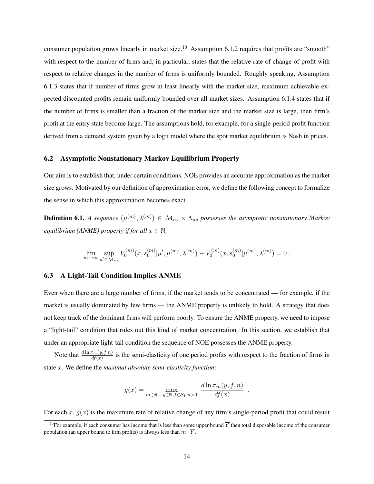consumer population grows linearly in market size.<sup>10</sup> Assumption 6.1.2 requires that profits are "smooth" with respect to the number of firms and, in particular, states that the relative rate of change of profit with respect to relative changes in the number of firms is uniformly bounded. Roughly speaking, Assumption 6.1.3 states that if number of firms grow at least linearly with the market size, maximum achievable expected discounted profits remain uniformly bounded over all market sizes. Assumption 6.1.4 states that if the number of firms is smaller than a fraction of the market size and the market size is large, then firm's profit at the entry state become large. The assumptions hold, for example, for a single-period profit function derived from a demand system given by a logit model where the spot market equilibrium is Nash in prices.

## 6.2 Asymptotic Nonstationary Markov Equilibrium Property

Our aim is to establish that, under certain conditions, NOE provides an accurate approximation as the market size grows. Motivated by our definition of approximation error, we define the following concept to formalize the sense in which this approximation becomes exact.

**Definition 6.1.** A sequence  $(\mu^{(m)}, \lambda^{(m)}) \in M_{ns} \times \Lambda_{ns}$  possesses the asymptotic nonstationary Markov *equilibrium (ANME) property if for all*  $x \in \mathbb{N}$ ,

$$
\lim_{m \to \infty} \sup_{\mu' \in \mathcal{M}_{ns}} V_0^{(m)}(x, s_0^{(m)} | \mu', \mu^{(m)}, \lambda^{(m)}) - V_0^{(m)}(x, s_0^{(m)} | \mu^{(m)}, \lambda^{(m)}) = 0.
$$

## 6.3 A Light-Tail Condition Implies ANME

Even when there are a large number of firms, if the market tends to be concentrated — for example, if the market is usually dominated by few firms — the ANME property is unlikely to hold. A strategy that does not keep track of the dominant firms will perform poorly. To ensure the ANME property, we need to impose a "light-tail" condition that rules out this kind of market concentration. In this section, we establish that under an appropriate light-tail condition the sequence of NOE possesses the ANME property.

Note that  $\frac{d \ln \pi_m(y, f, n)}{df(x)}$  is the semi-elasticity of one period profits with respect to the fraction of firms in state x. We define the *maximal absolute semi-elasticity function*:

$$
g(x) = \max_{m \in \mathbb{R}_+, y \in \mathbb{N}, f \in \mathcal{S}_1, n > 0} \left| \frac{d \ln \pi_m(y, f, n)}{df(x)} \right|.
$$

For each x,  $g(x)$  is the maximum rate of relative change of any firm's single-period profit that could result

<sup>&</sup>lt;sup>10</sup>For example, if each consumer has income that is less than some upper bound  $\overline{Y}$  then total disposable income of the consumer population (an upper bound to firm profits) is always less than  $m \cdot \overline{Y}$ .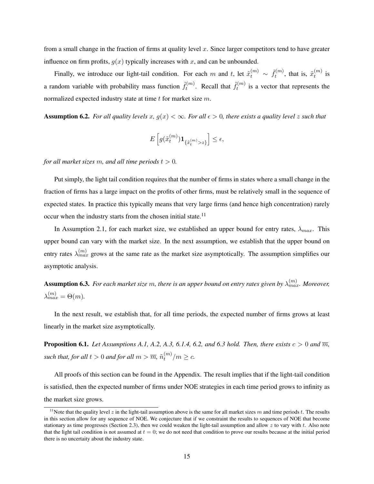from a small change in the fraction of firms at quality level  $x$ . Since larger competitors tend to have greater influence on firm profits,  $g(x)$  typically increases with x, and can be unbounded.

Finally, we introduce our light-tail condition. For each m and t, let  $\tilde{x}_t^{(m)} \sim \tilde{f}_t^{(m)}$  $\tilde{t}_t^{(m)}$ , that is,  $\tilde{x}_t^{(m)}$  $t^{(m)}$  is a random variable with probability mass function  $\tilde{f}_t^{(m)}$  $t_t^{(m)}$ . Recall that  $\tilde{f}_t^{(m)}$  $t_t^{(m)}$  is a vector that represents the normalized expected industry state at time  $t$  for market size  $m$ .

Assumption 6.2. For all quality levels x,  $g(x) < \infty$ . For all  $\epsilon > 0$ , there exists a quality level z such that

$$
E\left[g(\tilde{x}_t^{(m)})\mathbf{1}_{\{\tilde{x}_t^{(m)} > z\}}\right] \le \epsilon,
$$

*for all market sizes* m, and all time periods  $t > 0$ .

Put simply, the light tail condition requires that the number of firms in states where a small change in the fraction of firms has a large impact on the profits of other firms, must be relatively small in the sequence of expected states. In practice this typically means that very large firms (and hence high concentration) rarely occur when the industry starts from the chosen initial state.<sup>11</sup>

In Assumption 2.1, for each market size, we established an upper bound for entry rates,  $\lambda_{max}$ . This upper bound can vary with the market size. In the next assumption, we establish that the upper bound on entry rates  $\lambda_{max}^{(m)}$  grows at the same rate as the market size asymptotically. The assumption simplifies our asymptotic analysis.

 ${\bf Assumption~6.3.}$  *For each market size*  $m$ *, there is an upper bound on entry rates given by*  $\lambda_{max}^{(m)}$ *. Moreover,*  $\lambda_{max}^{(m)} = \Theta(m)$ .

In the next result, we establish that, for all time periods, the expected number of firms grows at least linearly in the market size asymptotically.

**Proposition 6.1.** *Let Assumptions A.1, A.2, A.3, 6.1.4, 6.2, and 6.3 hold. Then, there exists*  $c > 0$  *and*  $\overline{m}$ *,* such that, for all  $t>0$  and for all  $m>\overline{m},\,\tilde{n}^{(m)}_t$  $t^{(m)}/m \geq c$ .

All proofs of this section can be found in the Appendix. The result implies that if the light-tail condition is satisfied, then the expected number of firms under NOE strategies in each time period grows to infinity as the market size grows.

<sup>&</sup>lt;sup>11</sup>Note that the quality level z in the light-tail assumption above is the same for all market sizes m and time periods t. The results in this section allow for any sequence of NOE. We conjecture that if we constraint the results to sequences of NOE that become stationary as time progresses (Section 2.3), then we could weaken the light-tail assumption and allow  $z$  to vary with  $t$ . Also note that the light tail condition is not assumed at  $t = 0$ ; we do not need that condition to prove our results because at the initial period there is no uncertaity about the industry state.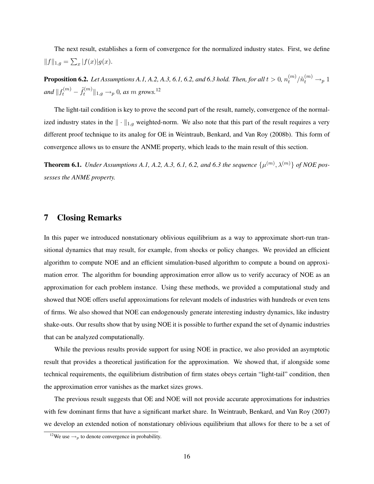The next result, establishes a form of convergence for the normalized industry states. First, we define  $||f||_{1,g} = \sum_{x} |f(x)|g(x).$ 

**Proposition 6.2.** Let Assumptions A.1, A.2, A.3, 6.1, 6.2, and 6.3 hold. Then, for all  $t > 0$ ,  $n_t^{(m)}$  $t^{(m)}/\tilde{n}_t^{(m)} \rightarrow_p 1$ and  $\Vert f_t^{(m)} - \tilde{f}_t^{(m)} \Vert$  $\mathcal{H}_t^{(m)}\|_{1,g} \rightarrow_p 0$ , as  $m$  grows.<sup>12</sup>

The light-tail condition is key to prove the second part of the result, namely, convergence of the normalized industry states in the  $\|\cdot\|_{1,g}$  weighted-norm. We also note that this part of the result requires a very different proof technique to its analog for OE in Weintraub, Benkard, and Van Roy (2008b). This form of convergence allows us to ensure the ANME property, which leads to the main result of this section.

**Theorem 6.1.** Under Assumptions A.1, A.2, A.3, 6.1, 6.2, and 6.3 the sequence  $\{\mu^{(m)}, \lambda^{(m)}\}$  of NOE pos*sesses the ANME property.*

# 7 Closing Remarks

In this paper we introduced nonstationary oblivious equilibrium as a way to approximate short-run transitional dynamics that may result, for example, from shocks or policy changes. We provided an efficient algorithm to compute NOE and an efficient simulation-based algorithm to compute a bound on approximation error. The algorithm for bounding approximation error allow us to verify accuracy of NOE as an approximation for each problem instance. Using these methods, we provided a computational study and showed that NOE offers useful approximations for relevant models of industries with hundreds or even tens of firms. We also showed that NOE can endogenously generate interesting industry dynamics, like industry shake-outs. Our results show that by using NOE it is possible to further expand the set of dynamic industries that can be analyzed computationally.

While the previous results provide support for using NOE in practice, we also provided an asymptotic result that provides a theoretical justification for the approximation. We showed that, if alongside some technical requirements, the equilibrium distribution of firm states obeys certain "light-tail" condition, then the approximation error vanishes as the market sizes grows.

The previous result suggests that OE and NOE will not provide accurate approximations for industries with few dominant firms that have a significant market share. In Weintraub, Benkard, and Van Roy (2007) we develop an extended notion of nonstationary oblivious equilibrium that allows for there to be a set of

<sup>&</sup>lt;sup>12</sup>We use  $\rightarrow_{p}$  to denote convergence in probability.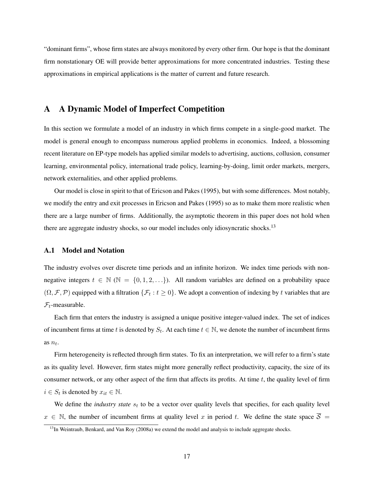"dominant firms", whose firm states are always monitored by every other firm. Our hope is that the dominant firm nonstationary OE will provide better approximations for more concentrated industries. Testing these approximations in empirical applications is the matter of current and future research.

# A A Dynamic Model of Imperfect Competition

In this section we formulate a model of an industry in which firms compete in a single-good market. The model is general enough to encompass numerous applied problems in economics. Indeed, a blossoming recent literature on EP-type models has applied similar models to advertising, auctions, collusion, consumer learning, environmental policy, international trade policy, learning-by-doing, limit order markets, mergers, network externalities, and other applied problems.

Our model is close in spirit to that of Ericson and Pakes (1995), but with some differences. Most notably, we modify the entry and exit processes in Ericson and Pakes (1995) so as to make them more realistic when there are a large number of firms. Additionally, the asymptotic theorem in this paper does not hold when there are aggregate industry shocks, so our model includes only idiosyncratic shocks.<sup>13</sup>

## A.1 Model and Notation

The industry evolves over discrete time periods and an infinite horizon. We index time periods with nonnegative integers  $t \in \mathbb{N}$  ( $\mathbb{N} = \{0, 1, 2, ...\}$ ). All random variables are defined on a probability space  $(\Omega, \mathcal{F}, \mathcal{P})$  equipped with a filtration  $\{\mathcal{F}_t : t \geq 0\}$ . We adopt a convention of indexing by t variables that are  $\mathcal{F}_t$ -measurable.

Each firm that enters the industry is assigned a unique positive integer-valued index. The set of indices of incumbent firms at time t is denoted by  $S_t$ . At each time  $t \in \mathbb{N}$ , we denote the number of incumbent firms as  $n_t$ .

Firm heterogeneity is reflected through firm states. To fix an interpretation, we will refer to a firm's state as its quality level. However, firm states might more generally reflect productivity, capacity, the size of its consumer network, or any other aspect of the firm that affects its profits. At time  $t$ , the quality level of firm  $i \in S_t$  is denoted by  $x_{it} \in \mathbb{N}$ .

We define the *industry state*  $s_t$  to be a vector over quality levels that specifies, for each quality level  $x \in \mathbb{N}$ , the number of incumbent firms at quality level x in period t. We define the state space  $\overline{S}$  =

 $13$ In Weintraub, Benkard, and Van Roy (2008a) we extend the model and analysis to include aggregate shocks.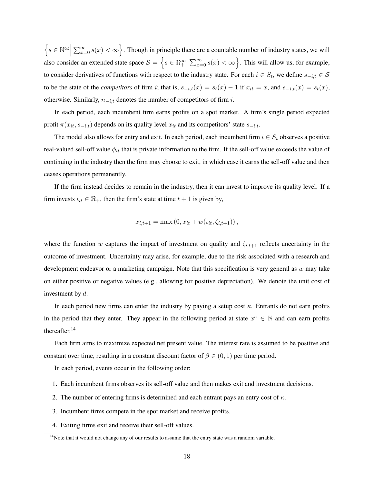$\Big\{s\in\mathbb{N}^{\infty}\Big\vert$  $\sum_{x=0}^{\infty} s(x) < \infty$ . Though in principle there are a countable number of industry states, we will also consider an extended state space  $S = \{ s \in \Re^{\infty}_+ \mid$  $\sum_{x=0}^{\infty} s(x) < \infty$ . This will allow us, for example, to consider derivatives of functions with respect to the industry state. For each  $i \in S_t$ , we define  $s_{-i,t} \in S$ to be the state of the *competitors* of firm i; that is,  $s_{-i,t}(x) = s_t(x) - 1$  if  $x_{it} = x$ , and  $s_{-i,t}(x) = s_t(x)$ , otherwise. Similarly,  $n_{-i,t}$  denotes the number of competitors of firm i.

In each period, each incumbent firm earns profits on a spot market. A firm's single period expected profit  $\pi(x_{it}, s_{-i,t})$  depends on its quality level  $x_{it}$  and its competitors' state  $s_{-i,t}$ .

The model also allows for entry and exit. In each period, each incumbent firm  $i \in S_t$  observes a positive real-valued sell-off value  $\phi_{it}$  that is private information to the firm. If the sell-off value exceeds the value of continuing in the industry then the firm may choose to exit, in which case it earns the sell-off value and then ceases operations permanently.

If the firm instead decides to remain in the industry, then it can invest to improve its quality level. If a firm invests  $\iota_{it} \in \mathbb{R}_+$ , then the firm's state at time  $t + 1$  is given by,

$$
x_{i,t+1} = \max(0, x_{it} + w(\iota_{it}, \zeta_{i,t+1})),
$$

where the function w captures the impact of investment on quality and  $\zeta_{i,t+1}$  reflects uncertainty in the outcome of investment. Uncertainty may arise, for example, due to the risk associated with a research and development endeavor or a marketing campaign. Note that this specification is very general as  $w$  may take on either positive or negative values (e.g., allowing for positive depreciation). We denote the unit cost of investment by d.

In each period new firms can enter the industry by paying a setup cost  $\kappa$ . Entrants do not earn profits in the period that they enter. They appear in the following period at state  $x^e \in \mathbb{N}$  and can earn profits thereafter.<sup>14</sup>

Each firm aims to maximize expected net present value. The interest rate is assumed to be positive and constant over time, resulting in a constant discount factor of  $\beta \in (0,1)$  per time period.

In each period, events occur in the following order:

- 1. Each incumbent firms observes its sell-off value and then makes exit and investment decisions.
- 2. The number of entering firms is determined and each entrant pays an entry cost of  $\kappa$ .
- 3. Incumbent firms compete in the spot market and receive profits.
- 4. Exiting firms exit and receive their sell-off values.

 $<sup>14</sup>$ Note that it would not change any of our results to assume that the entry state was a random variable.</sup>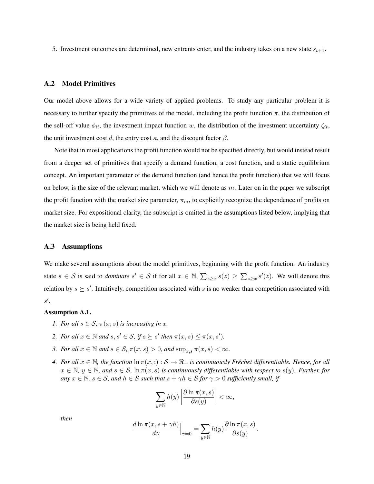5. Investment outcomes are determined, new entrants enter, and the industry takes on a new state  $s_{t+1}$ .

#### A.2 Model Primitives

Our model above allows for a wide variety of applied problems. To study any particular problem it is necessary to further specify the primitives of the model, including the profit function  $\pi$ , the distribution of the sell-off value  $\phi_{it}$ , the investment impact function w, the distribution of the investment uncertainty  $\zeta_{it}$ , the unit investment cost d, the entry cost  $\kappa$ , and the discount factor  $\beta$ .

Note that in most applications the profit function would not be specified directly, but would instead result from a deeper set of primitives that specify a demand function, a cost function, and a static equilibrium concept. An important parameter of the demand function (and hence the profit function) that we will focus on below, is the size of the relevant market, which we will denote as  $m$ . Later on in the paper we subscript the profit function with the market size parameter,  $\pi_m$ , to explicitly recognize the dependence of profits on market size. For expositional clarity, the subscript is omitted in the assumptions listed below, implying that the market size is being held fixed.

### A.3 Assumptions

We make several assumptions about the model primitives, beginning with the profit function. An industry state  $s \in S$  is said to *dominate*  $s' \in S$  if for all  $x \in \mathbb{N}$ ,  $\sum_{z \geq x} s(z) \geq \sum_{z \geq x} s'(z)$ . We will denote this relation by  $s \succeq s'$ . Intuitively, competition associated with s is no weaker than competition associated with  $s'.$ 

### Assumption A.1.

- *1. For all*  $s \in S$ ,  $\pi(x, s)$  *is increasing in x.*
- *2. For all*  $x \in \mathbb{N}$  *and*  $s, s' \in S$ *, if*  $s \succeq s'$  *then*  $\pi(x, s) \leq \pi(x, s')$ *.*
- *3. For all*  $x \in \mathbb{N}$  *and*  $s \in S$ *,*  $\pi(x, s) > 0$ *, and*  $\sup_{x,s} \pi(x, s) < \infty$ *.*
- *4.* For all  $x \in \mathbb{N}$ , the function  $\ln \pi(x, \cdot) : \mathcal{S} \to \mathbb{R}_+$  is continuously Fréchet differentiable. Hence, for all  $x \in \mathbb{N}, y \in \mathbb{N},$  and  $s \in \mathcal{S}, \ln \pi(x, s)$  *is continuously differentiable with respect to*  $s(y)$ *. Further, for any*  $x \in \mathbb{N}$ ,  $s \in \mathcal{S}$ , and  $h \in \mathcal{S}$  such that  $s + \gamma h \in \mathcal{S}$  for  $\gamma > 0$  sufficiently small, if

$$
\sum_{y \in \mathbb{N}} h(y) \left| \frac{\partial \ln \pi(x, s)}{\partial s(y)} \right| < \infty,
$$

*then*

$$
\frac{d \ln \pi(x, s + \gamma h)}{d\gamma} \Big|_{\gamma=0} = \sum_{y \in \mathbb{N}} h(y) \frac{\partial \ln \pi(x, s)}{\partial s(y)}.
$$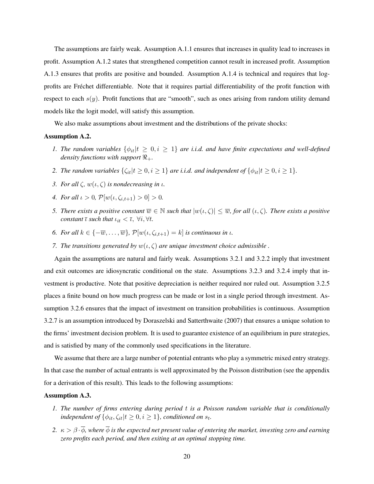The assumptions are fairly weak. Assumption A.1.1 ensures that increases in quality lead to increases in profit. Assumption A.1.2 states that strengthened competition cannot result in increased profit. Assumption A.1.3 ensures that profits are positive and bounded. Assumption A.1.4 is technical and requires that logprofits are Fréchet differentiable. Note that it requires partial differentiability of the profit function with respect to each  $s(y)$ . Profit functions that are "smooth", such as ones arising from random utility demand models like the logit model, will satisfy this assumption.

We also make assumptions about investment and the distributions of the private shocks:

#### Assumption A.2.

- *1. The random variables*  $\{\phi_{it}|t \geq 0, i \geq 1\}$  *are i.i.d. and have finite expectations and well-defined density functions with support*  $\mathbb{R}_+$ *.*
- *2. The random variables*  $\{\zeta_{it}|t \geq 0, i \geq 1\}$  *are i.i.d. and independent of*  $\{\phi_{it}|t \geq 0, i \geq 1\}$ *.*
- *3. For all*  $\zeta$ *, w*( $\iota$ *,* $\zeta$ ) *is nondecreasing in*  $\iota$ *.*
- *4. For all*  $\iota > 0$ ,  $\mathcal{P}[w(\iota, \zeta_{i,t+1}) > 0] > 0$ .
- *5. There exists a positive constant*  $\overline{w} \in \mathbb{N}$  *such that*  $|w(\iota,\zeta)| \leq \overline{w}$ *, for all*  $(\iota,\zeta)$ *. There exists a positive constant*  $\overline{\iota}$  *such that*  $\iota_{it} < \overline{\iota}$ ,  $\forall i, \forall t$ .
- *6. For all*  $k \in \{-\overline{w}, \ldots, \overline{w}\}$ ,  $\mathcal{P}[w(\iota, \zeta_{i,t+1}) = k]$  *is continuous in*  $\iota$ *.*
- *7.* The transitions generated by  $w(t, \zeta)$  are unique investment choice admissible.

Again the assumptions are natural and fairly weak. Assumptions 3.2.1 and 3.2.2 imply that investment and exit outcomes are idiosyncratic conditional on the state. Assumptions 3.2.3 and 3.2.4 imply that investment is productive. Note that positive depreciation is neither required nor ruled out. Assumption 3.2.5 places a finite bound on how much progress can be made or lost in a single period through investment. Assumption 3.2.6 ensures that the impact of investment on transition probabilities is continuous. Assumption 3.2.7 is an assumption introduced by Doraszelski and Satterthwaite (2007) that ensures a unique solution to the firms' investment decision problem. It is used to guarantee existence of an equilibrium in pure strategies, and is satisfied by many of the commonly used specifications in the literature.

We assume that there are a large number of potential entrants who play a symmetric mixed entry strategy. In that case the number of actual entrants is well approximated by the Poisson distribution (see the appendix for a derivation of this result). This leads to the following assumptions:

#### Assumption A.3.

- *1. The number of firms entering during period* t *is a Poisson random variable that is conditionally independent of*  $\{\phi_{it}, \zeta_{it} | t \geq 0, i \geq 1\}$ , conditioned on  $s_t$ .
- 2.  $\kappa > \beta \cdot \overline{\phi}$ , where  $\overline{\phi}$  *is the expected net present value of entering the market, investing zero and earning zero profits each period, and then exiting at an optimal stopping time.*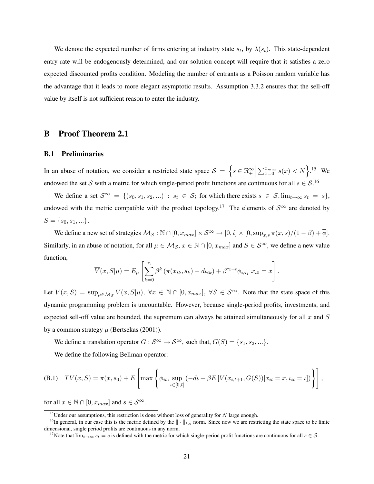We denote the expected number of firms entering at industry state  $s_t$ , by  $\lambda(s_t)$ . This state-dependent entry rate will be endogenously determined, and our solution concept will require that it satisfies a zero expected discounted profits condition. Modeling the number of entrants as a Poisson random variable has the advantage that it leads to more elegant asymptotic results. Assumption 3.3.2 ensures that the sell-off value by itself is not sufficient reason to enter the industry.

# B Proof Theorem 2.1

#### B.1 Preliminaries

In an abuse of notation, we consider a restricted state space  $S = \{ s \in \mathbb{R}^{\infty}_+ \mid$  $\sum_{x=0}^{x_{max}} s(x) < N$ .<sup>15</sup> We endowed the set S with a metric for which single-period profit functions are continuous for all  $s \in S$ .<sup>16</sup>

We define a set  $S^{\infty} = \{(s_0, s_1, s_2, ...) : s_t \in S;$  for which there exists  $s \in S$ ,  $\lim_{t \to \infty} s_t = s\}$ , endowed with the metric compatible with the product topology.<sup>17</sup> The elements of  $S^{\infty}$  are denoted by  $S = \{s_0, s_1, ...\}.$ 

We define a new set of strategies  $M_S : \mathbb{N} \cap [0, x_{max}] \times S^{\infty} \to [0, \hat{\iota}] \times [0, \sup_{x,s} \pi(x, s)/(1 - \beta) + \overline{\phi}]$ . Similarly, in an abuse of notation, for all  $\mu \in \mathcal{M}_{\mathcal{S}}, x \in \mathbb{N} \cap [0, x_{max}]$  and  $S \in \mathcal{S}^{\infty}$ , we define a new value function,

$$
\overline{V}(x, S | \mu) = E_{\mu} \left[ \sum_{k=0}^{\tau_i} \beta^k \left( \pi(x_{ik}, s_k) - d\mu_{ik} \right) + \beta^{\tau_i - t} \phi_{i, \tau_i} \middle| x_{i0} = x \right].
$$

Let  $\overline{V}(x, S) = \sup_{\mu \in \mathcal{M}_{\mathcal{S}}} \overline{V}(x, S | \mu)$ ,  $\forall x \in \mathbb{N} \cap [0, x_{max}]$ ,  $\forall S \in \mathcal{S}^{\infty}$ . Note that the state space of this dynamic programming problem is uncountable. However, because single-period profits, investments, and expected sell-off value are bounded, the supremum can always be attained simultaneously for all  $x$  and  $S$ by a common strategy  $\mu$  (Bertsekas (2001)).

We define a translation operator  $G : S^{\infty} \to S^{\infty}$ , such that,  $G(S) = \{s_1, s_2, ...\}$ .

We define the following Bellman operator:

(B.1) 
$$
TV(x, S) = \pi(x, s_0) + E\left[\max\left\{\phi_{it}, \sup_{t \in [0,\hat{t}]} (-dt + \beta E[V(x_{i,t+1}, G(S)) | x_{it} = x, t_{it} = t])\right\}\right],
$$

for all  $x \in \mathbb{N} \cap [0, x_{max}]$  and  $s \in \mathcal{S}^{\infty}$ .

<sup>&</sup>lt;sup>15</sup>Under our assumptions, this restriction is done without loss of generality for N large enough.

<sup>&</sup>lt;sup>16</sup>In general, in our case this is the metric defined by the  $\|\cdot\|_{1,g}$  norm. Since now we are restricting the state space to be finite dimensional, single period profits are continuous in any norm.

<sup>&</sup>lt;sup>17</sup>Note that  $\lim_{t\to\infty} s_t = s$  is defined with the metric for which single-period profit functions are continuous for all  $s \in \mathcal{S}$ .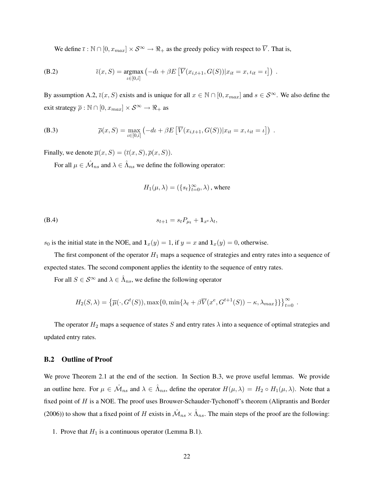We define  $\overline{\iota}$  :  $\mathbb{N} \cap [0, x_{max}] \times S^{\infty} \to \mathbb{R}_+$  as the greedy policy with respect to  $\overline{V}$ . That is,

(B.2) 
$$
\bar{\iota}(x, S) = \underset{\iota \in [0,\hat{\iota}]}{\text{argmax}} (-d\iota + \beta E \left[ \overline{V}(x_{i,t+1}, G(S)) | x_{it} = x, \iota_{it} = \iota \right]).
$$

By assumption A.2,  $\bar{\iota}(x, S)$  exists and is unique for all  $x \in \mathbb{N} \cap [0, x_{max}]$  and  $s \in S^{\infty}$ . We also define the exit strategy  $\overline{\rho}:\mathbb{N}\cap[0,x_{max}]\times\mathcal{S}^\infty\rightarrow\Re_+$  as

(B.3) 
$$
\overline{\rho}(x, S) = \max_{\iota \in [0,\hat{\iota}]} \left( -d\iota + \beta E \left[ \overline{V}(x_{i,t+1}, G(S)) | x_{it} = x, \iota_{it} = \iota \right] \right) .
$$

Finally, we denote  $\overline{\mu}(x, S) = (\overline{\iota}(x, S), \overline{\rho}(x, S)).$ 

For all  $\mu \in \hat{\mathcal{M}}_{ns}$  and  $\lambda \in \hat{\Lambda}_{ns}$  we define the following operator:

$$
H_1(\mu, \lambda) = (\{s_t\}_{t=0}^{\infty}, \lambda)
$$
, where

$$
(B.4) \t\t s_{t+1} = s_t P_{\mu_t} + \mathbf{1}_{x^e} \lambda_t,
$$

 $s_0$  is the initial state in the NOE, and  $\mathbf{1}_x(y) = 1$ , if  $y = x$  and  $\mathbf{1}_x(y) = 0$ , otherwise.

The first component of the operator  $H_1$  maps a sequence of strategies and entry rates into a sequence of expected states. The second component applies the identity to the sequence of entry rates.

For all  $S \in \mathcal{S}^{\infty}$  and  $\lambda \in \hat{\Lambda}_{ns}$ , we define the following operator

$$
H_2(S, \lambda) = \left\{ \overline{\mu}(\cdot, G^t(S)), \max\{0, \min\{\lambda_t + \beta \overline{V}(x^e, G^{t+1}(S)) - \kappa, \lambda_{max}\} \} \right\}_{t=0}^{\infty}.
$$

The operator  $H_2$  maps a sequence of states S and entry rates  $\lambda$  into a sequence of optimal strategies and updated entry rates.

## B.2 Outline of Proof

We prove Theorem 2.1 at the end of the section. In Section B.3, we prove useful lemmas. We provide an outline here. For  $\mu \in \hat{\mathcal{M}}_{ns}$  and  $\lambda \in \hat{\Lambda}_{ns}$ , define the operator  $H(\mu, \lambda) = H_2 \circ H_1(\mu, \lambda)$ . Note that a fixed point of H is a NOE. The proof uses Brouwer-Schauder-Tychonoff's theorem (Aliprantis and Border (2006)) to show that a fixed point of H exists in  $\hat{M}_{ns} \times \hat{\Lambda}_{ns}$ . The main steps of the proof are the following:

1. Prove that  $H_1$  is a continuous operator (Lemma B.1).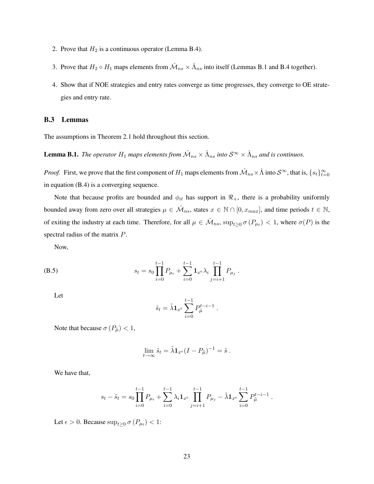- 2. Prove that  $H_2$  is a continuous operator (Lemma B.4).
- 3. Prove that  $H_2 \circ H_1$  maps elements from  $\hat{M}_{ns} \times \hat{\Lambda}_{ns}$  into itself (Lemmas B.1 and B.4 together).
- 4. Show that if NOE strategies and entry rates converge as time progresses, they converge to OE strategies and entry rate.

## B.3 Lemmas

The assumptions in Theorem 2.1 hold throughout this section.

**Lemma B.1.** The operator  $H_1$  maps elements from  $\hat{M}_{ns} \times \hat{\Lambda}_{ns}$  into  $S^{\infty} \times \hat{\Lambda}_{ns}$  and is continuos.

*Proof.* First, we prove that the first component of  $H_1$  maps elements from  $\hat{\mathcal{M}}_{ns}\times \hat{\Lambda}$  into  $\mathcal{S}^{\infty}$ , that is,  $\{s_t\}_{t=0}^{\infty}$ in equation (B.4) is a converging sequence.

Note that because profits are bounded and  $\phi_{it}$  has support in  $\Re_{+}$ , there is a probability uniformly bounded away from zero over all strategies  $\mu \in \hat{\mathcal{M}}_{ns}$ , states  $x \in \mathbb{N} \cap [0, x_{max}]$ , and time periods  $t \in \mathbb{N}$ , of exiting the industry at each time. Therefore, for all  $\mu \in \hat{\mathcal{M}}_{ns}$ ,  $\sup_{t \geq 0} \sigma(P_{\mu_t}) < 1$ , where  $\sigma(P)$  is the spectral radius of the matrix P.

Now,

(B.5) 
$$
s_t = s_0 \prod_{i=0}^{t-1} P_{\mu_i} + \sum_{i=0}^{t-1} \mathbf{1}_{x^e} \lambda_i \prod_{j=i+1}^{t-1} P_{\mu_j}.
$$

Let

$$
\tilde{s}_t = \tilde{\lambda} \mathbf{1}_{x^e} \sum_{i=0}^{t-1} P_{\tilde{\mu}}^{t-i-1} .
$$

Note that because  $\sigma(P_{\tilde{\mu}}) < 1$ ,

$$
\lim_{t \to \infty} \tilde{s}_t = \tilde{\lambda} \mathbf{1}_{x^e} (I - P_{\tilde{\mu}})^{-1} = \tilde{s} .
$$

We have that,

$$
s_t - \tilde{s}_t = s_0 \prod_{i=0}^{t-1} P_{\mu_i} + \sum_{i=0}^{t-1} \lambda_i \mathbf{1}_{x^e} \prod_{j=i+1}^{t-1} P_{\mu_j} - \tilde{\lambda} \mathbf{1}_{x^e} \sum_{i=0}^{t-1} P_{\tilde{\mu}}^{t-i-1}.
$$

Let  $\epsilon > 0$ . Because  $\sup_{t \geq 0} \sigma(P_{\mu_t}) < 1$ :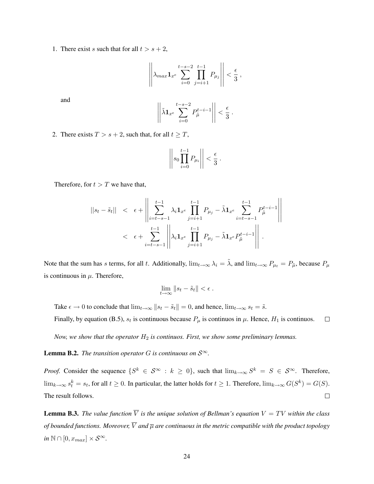1. There exist s such that for all  $t > s + 2$ ,

$$
\left\| \lambda_{max} \mathbf{1}_{x^e} \sum_{i=0}^{t-s-2} \prod_{j=i+1}^{t-1} P_{\mu_j} \right\| < \frac{\epsilon}{3},
$$

and

$$
\left\|\tilde{\lambda} \mathbf{1}_{x^e} \sum_{i=0}^{t-s-2} P_{\tilde{\mu}}^{t-i-1}\right\| < \frac{\epsilon}{3}.
$$

2. There exists  $T > s + 2$ , such that, for all  $t \geq T$ ,

$$
\left| \left| s_0 \prod_{i=0}^{t-1} P_{\mu_i} \right| \right| < \frac{\epsilon}{3} .
$$

Therefore, for  $t > T$  we have that,

$$
||s_t - \tilde{s}_t|| < \epsilon + \left\| \sum_{i=t-s-1}^{t-1} \lambda_i \mathbf{1}_{x^e} \prod_{j=i+1}^{t-1} P_{\mu_j} - \tilde{\lambda} \mathbf{1}_{x^e} \sum_{i=t-s-1}^{t-1} P_{\tilde{\mu}}^{t-i-1} \right\|
$$
  

$$
< \epsilon + \sum_{i=t-s-1}^{t-1} \left\| \lambda_i \mathbf{1}_{x^e} \prod_{j=i+1}^{t-1} P_{\mu_j} - \tilde{\lambda} \mathbf{1}_{x^e} P_{\tilde{\mu}}^{t-i-1} \right\|.
$$

Note that the sum has s terms, for all t. Additionally,  $\lim_{t\to\infty} \lambda_i = \tilde{\lambda}$ , and  $\lim_{t\to\infty} P_{\mu} = P_{\tilde{\mu}}$ , because  $P_{\mu}$ is continuous in  $\mu$ . Therefore,

$$
\lim_{t\to\infty}||s_t-\tilde{s}_t|| < \epsilon.
$$

Take  $\epsilon \to 0$  to conclude that  $\lim_{t\to\infty} ||s_t - \tilde{s}_t|| = 0$ , and hence,  $\lim_{t\to\infty} s_t = \tilde{s}$ .

Finally, by equation (B.5),  $s_t$  is continuous because  $P_\mu$  is continuos in  $\mu$ . Hence,  $H_1$  is continuos.  $\Box$ 

*Now, we show that the operator*  $H_2$  *is continuos. First, we show some preliminary lemmas.* 

**Lemma B.2.** *The transition operator G is continuous on*  $S^{\infty}$ *.* 

*Proof.* Consider the sequence  $\{S^k \in S^\infty : k \geq 0\}$ , such that  $\lim_{k \to \infty} S^k = S \in S^\infty$ . Therefore,  $\lim_{k\to\infty} s_t^k = s_t$ , for all  $t \geq 0$ . In particular, the latter holds for  $t \geq 1$ . Therefore,  $\lim_{k\to\infty} G(S^k) = G(S)$ . The result follows.  $\Box$ 

**Lemma B.3.** The value function  $\overline{V}$  is the unique solution of Bellman's equation  $V = TV$  within the class *of bounded functions. Moreover,*  $\overline{V}$  *and*  $\overline{\mu}$  *are continuous in the metric compatible with the product topology in*  $\mathbb{N} \cap [0, x_{max}] \times S^{\infty}$ .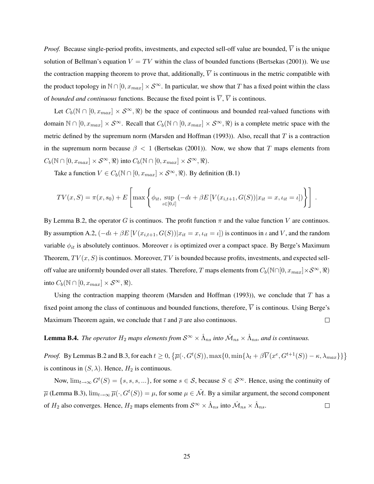*Proof.* Because single-period profits, investments, and expected sell-off value are bounded,  $\overline{V}$  is the unique solution of Bellman's equation  $V = TV$  within the class of bounded functions (Bertsekas (2001)). We use the contraction mapping theorem to prove that, additionally,  $\overline{V}$  is continuous in the metric compatible with the product topology in  $\mathbb{N} \cap [0, x_{max}] \times S^{\infty}$ . In particular, we show that T has a fixed point within the class of *bounded and continuous* functions. Because the fixed point is  $\overline{V}$ ,  $\overline{V}$  is continous.

Let  $C_b(\mathbb{N} \cap [0, x_{max}] \times S^{\infty}, \mathbb{R})$  be the space of continuous and bounded real-valued functions with domain  $\mathbb{N} \cap [0, x_{max}] \times S^{\infty}$ . Recall that  $C_b(\mathbb{N} \cap [0, x_{max}] \times S^{\infty}, \mathbb{R})$  is a complete metric space with the metric defined by the supremum norm (Marsden and Hoffman (1993)). Also, recall that  $T$  is a contraction in the supremum norm because  $\beta$  < 1 (Bertsekas (2001)). Now, we show that T maps elements from  $C_b(\mathbb{N} \cap [0, x_{max}] \times S^{\infty}, \mathbb{R})$  into  $C_b(\mathbb{N} \cap [0, x_{max}] \times S^{\infty}, \mathbb{R})$ .

Take a function  $V \in C_b(\mathbb{N} \cap [0, x_{max}] \times S^{\infty}, \Re)$ . By definition (B.1)

$$
TV(x, S) = \pi(x, s_0) + E\left[\max\left\{\phi_{it}, \sup_{t \in [0,\hat{t}]} (-dt + \beta E[V(x_{i,t+1}, G(S)) | x_{it} = x, \iota_{it} = \iota])\right\}\right].
$$

By Lemma B.2, the operator G is continuos. The profit function  $\pi$  and the value function V are continuos. By assumption A.2,  $(-dt + \beta E[V(x_{i,t+1}, G(S))]x_{it} = x, \iota_{it} = \iota])$  is continuos in  $\iota$  and  $V$ , and the random variable  $\phi_{it}$  is absolutely continuos. Moreover *i* is optimized over a compact space. By Berge's Maximum Theorem,  $TV(x, S)$  is continuos. Moreover, TV is bounded because profits, investments, and expected selloff value are uniformly bounded over all states. Therefore, T maps elements from  $C_b(\mathbb{N}\cap[0, x_{max}]\times\mathcal{S}^\infty, \Re)$ into  $C_b(\mathbb{N} \cap [0, x_{max}] \times S^{\infty}, \Re).$ 

Using the contraction mapping theorem (Marsden and Hoffman (1993)), we conclude that  $T$  has a fixed point among the class of continuous and bounded functions, therefore,  $\overline{V}$  is continous. Using Berge's  $\Box$ Maximum Theorem again, we conclude that  $\bar{\iota}$  and  $\bar{\rho}$  are also continuous.

**Lemma B.4.** The operator  $H_2$  maps elements from  $S^{\infty} \times \hat{\Lambda}_{ns}$  into  $\hat{\mathcal{M}}_{ns} \times \hat{\Lambda}_{ns}$ , and is continuous.

*Proof.* By Lemmas B.2 and B.3, for each  $t \ge 0$ ,  $\left\{ \overline{\mu}(\cdot, G^t(S))$ ,  $\max\{0, \min\{\lambda_t + \beta \overline{V}(x^e, G^{t+1}(S)) - \kappa, \lambda_{max}\} \} \right\}$ is continuous in  $(S, \lambda)$ . Hence,  $H_2$  is continuous.

Now,  $\lim_{t\to\infty} G^t(S) = \{s, s, s, ...\}$ , for some  $s \in S$ , because  $S \in S^{\infty}$ . Hence, using the continuity of  $\overline{\mu}$  (Lemma B.3),  $\lim_{t\to\infty}\overline{\mu}(\cdot,G^t(S))=\mu$ , for some  $\mu\in\tilde{\mathcal{M}}$ . By a similar argument, the second component of  $H_2$  also converges. Hence,  $H_2$  maps elements from  $S^\infty \times \hat{\Lambda}_{ns}$  into  $\hat{\mathcal{M}}_{ns} \times \hat{\Lambda}_{ns}$ .  $\Box$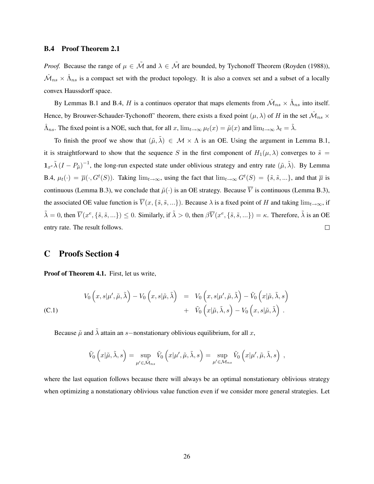### B.4 Proof Theorem 2.1

*Proof.* Because the range of  $\mu \in \tilde{\mathcal{M}}$  and  $\lambda \in \tilde{\mathcal{M}}$  are bounded, by Tychonoff Theorem (Royden (1988)),  $\hat{M}_{ns} \times \hat{\Lambda}_{ns}$  is a compact set with the product topology. It is also a convex set and a subset of a locally convex Haussdorff space.

By Lemmas B.1 and B.4, H is a continuos operator that maps elements from  $\hat{M}_{ns} \times \hat{\Lambda}_{ns}$  into itself. Hence, by Brouwer-Schauder-Tychonoff' theorem, there exists a fixed point  $(\mu, \lambda)$  of H in the set  $\hat{M}_{ns} \times$  $\hat{\Lambda}_{ns}$ . The fixed point is a NOE, such that, for all x,  $\lim_{t\to\infty}\mu_t(x) = \tilde{\mu}(x)$  and  $\lim_{t\to\infty}\lambda_t = \tilde{\lambda}$ .

To finish the proof we show that  $(\tilde{\mu}, \tilde{\lambda}) \in \mathcal{M} \times \Lambda$  is an OE. Using the argument in Lemma B.1, it is straightforward to show that the sequence S in the first component of  $H_1(\mu, \lambda)$  converges to  $\tilde{s} =$  $1_{x^e}\tilde{\lambda} (I-P_{\tilde{\mu}})^{-1}$ , the long-run expected state under oblivious strategy and entry rate  $(\tilde{\mu}, \tilde{\lambda})$ . By Lemma B.4,  $\mu_t(\cdot) = \overline{\mu}(\cdot, G^t(S))$ . Taking  $\lim_{t \to \infty}$ , using the fact that  $\lim_{t \to \infty} G^t(S) = \{\tilde{s}, \tilde{s}, ...\}$ , and that  $\overline{\mu}$  is continuous (Lemma B.3), we conclude that  $\tilde{\mu}(\cdot)$  is an OE strategy. Because  $\overline{V}$  is continuous (Lemma B.3), the associated OE value function is  $\overline{V}(x, \{\tilde{s}, \tilde{s}, ...\})$ . Because  $\lambda$  is a fixed point of H and taking  $\lim_{t\to\infty}$ , if  $\tilde{\lambda} = 0$ , then  $\overline{V}(x^e, \{\tilde{s}, \tilde{s}, ...\}) \leq 0$ . Similarly, if  $\tilde{\lambda} > 0$ , then  $\beta \overline{V}(x^e, \{\tilde{s}, \tilde{s}, ...\}) = \kappa$ . Therefore,  $\tilde{\lambda}$  is an OE entry rate. The result follows.  $\Box$ 

# C Proofs Section 4

Proof of Theorem 4.1. First, let us write,

(C.1)  
\n
$$
V_0(x,s|\mu',\tilde{\mu},\tilde{\lambda}) - V_0(x,s|\tilde{\mu},\tilde{\lambda}) = V_0(x,s|\mu',\tilde{\mu},\tilde{\lambda}) - \tilde{V}_0(x|\tilde{\mu},\tilde{\lambda},s) + \tilde{V}_0(x|\tilde{\mu},\tilde{\lambda},s) - V_0(x,s|\tilde{\mu},\tilde{\lambda}).
$$

Because  $\tilde{\mu}$  and  $\tilde{\lambda}$  attain an s−nonstationary oblivious equilibrium, for all x,

$$
\tilde{V}_0\n\left(x|\tilde{\mu},\tilde{\lambda},s\right) = \sup_{\mu' \in \tilde{\mathcal{M}}_{ns}} \tilde{V}_0\left(x|\mu',\tilde{\mu},\tilde{\lambda},s\right) = \sup_{\mu' \in \mathcal{M}_{ns}} \tilde{V}_0\left(x|\mu',\tilde{\mu},\tilde{\lambda},s\right) ,
$$

where the last equation follows because there will always be an optimal nonstationary oblivious strategy when optimizing a nonstationary oblivious value function even if we consider more general strategies. Let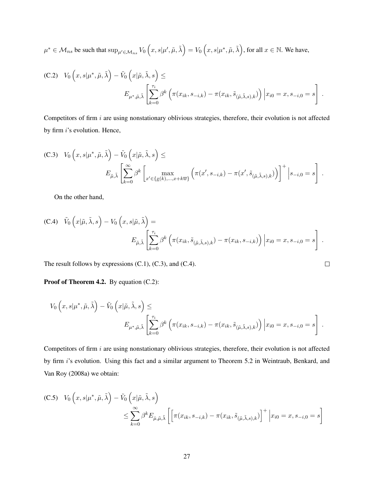$$
\mu^* \in \mathcal{M}_{ns} \text{ be such that } \sup_{\mu' \in \mathcal{M}_{ns}} V_0 \left( x, s | \mu', \tilde{\mu}, \tilde{\lambda} \right) = V_0 \left( x, s | \mu^*, \tilde{\mu}, \tilde{\lambda} \right), \text{ for all } x \in \mathbb{N}. \text{ We have,}
$$

(C.2) 
$$
V_0(x, s | \mu^*, \tilde{\mu}, \tilde{\lambda}) - \tilde{V}_0(x | \tilde{\mu}, \tilde{\lambda}, s) \le
$$
  

$$
E_{\mu^*, \tilde{\mu}, \tilde{\lambda}} \left[ \sum_{k=0}^{\tau_i} \beta^k \left( \pi(x_{ik}, s_{-i,k}) - \pi(x_{ik}, \tilde{s}_{(\tilde{\mu}, \tilde{\lambda}, s), k}) \right) \Big| x_{i0} = x, s_{-i,0} = s \right].
$$

Competitors of firm  $i$  are using nonstationary oblivious strategies, therefore, their evolution is not affected by firm i's evolution. Hence,

(C.3) 
$$
V_0(x, s | \mu^*, \tilde{\mu}, \tilde{\lambda}) - \tilde{V}_0(x | \tilde{\mu}, \tilde{\lambda}, s) \le
$$
  

$$
E_{\tilde{\mu}, \tilde{\lambda}} \left[ \sum_{k=0}^{\infty} \beta^k \left[ \max_{x' \in \{x(k), ..., x+k\overline{w}\}} \left( \pi(x', s_{-i,k}) - \pi(x', \tilde{s}_{(\tilde{\mu}, \tilde{\lambda}, s), k}) \right) \right]^+ \Big| s_{-i,0} = s \right].
$$

On the other hand,

(C.4) 
$$
\tilde{V}_0(x|\tilde{\mu}, \tilde{\lambda}, s) - V_0(x, s|\tilde{\mu}, \tilde{\lambda}) =
$$
  

$$
E_{\tilde{\mu}, \tilde{\lambda}} \left[ \sum_{k=0}^{\tau_i} \beta^k \left( \pi(x_{ik}, \tilde{s}_{(\tilde{\mu}, \tilde{\lambda}, s), k}) - \pi(x_{ik}, s_{-i,k}) \right) \Big| x_{i0} = x, s_{-i,0} = s \right].
$$

 $\Box$ 

The result follows by expressions (C.1), (C.3), and (C.4).

Proof of Theorem 4.2. By equation (C.2):

$$
V_0(x, s | \mu^*, \tilde{\mu}, \tilde{\lambda}) - \tilde{V}_0(x | \tilde{\mu}, \tilde{\lambda}, s) \le
$$
  

$$
E_{\mu^*, \tilde{\mu}, \tilde{\lambda}} \left[ \sum_{k=0}^{\tau_i} \beta^k \left( \pi(x_{ik}, s_{-i,k}) - \pi(x_{ik}, \tilde{s}_{(\tilde{\mu}, \tilde{\lambda}, s), k}) \right) \Big| x_{i0} = x, s_{-i,0} = s \right].
$$

Competitors of firm i are using nonstationary oblivious strategies, therefore, their evolution is not affected by firm i's evolution. Using this fact and a similar argument to Theorem 5.2 in Weintraub, Benkard, and Van Roy (2008a) we obtain:

(C.5) 
$$
V_0(x, s | \mu^*, \tilde{\mu}, \tilde{\lambda}) - \tilde{V}_0(x | \tilde{\mu}, \tilde{\lambda}, s)
$$

$$
\leq \sum_{k=0}^{\infty} \beta^k E_{\tilde{\mu}, \tilde{\mu}, \tilde{\lambda}} \left[ \left[ \pi(x_{ik}, s_{-i,k}) - \pi(x_{ik}, \tilde{s}_{(\tilde{\mu}, \tilde{\lambda}, s), k}) \right]^+ \Big| x_{i0} = x, s_{-i,0} = s \right]
$$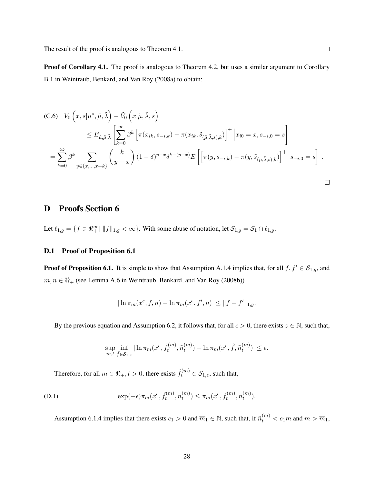Proof of Corollary 4.1. The proof is analogous to Theorem 4.2, but uses a similar argument to Corollary B.1 in Weintraub, Benkard, and Van Roy (2008a) to obtain:

(C.6) 
$$
V_0(x, s | \mu^*, \tilde{\mu}, \tilde{\lambda}) - \tilde{V}_0(x | \tilde{\mu}, \tilde{\lambda}, s)
$$
  
\n
$$
\leq E_{\hat{\mu}, \tilde{\mu}, \tilde{\lambda}} \left[ \sum_{k=0}^{\infty} \beta^k \left[ \pi(x_{ik}, s_{-i,k}) - \pi(x_{ik}, \tilde{s}_{(\tilde{\mu}, \tilde{\lambda}, s), k}) \right]^+ \Big| x_{i0} = x, s_{-i,0} = s \right]
$$
\n
$$
= \sum_{k=0}^{\infty} \beta^k \sum_{y \in \{x, \dots, x+k\}} {k \choose y - x} (1 - \delta)^{y - x} \delta^{k - (y - x)} E\left[ \pi(y, s_{-i,k}) - \pi(y, \tilde{s}_{(\tilde{\mu}, \tilde{\lambda}, s), k}) \right]^+ \Big| s_{-i,0} = s \right].
$$

# D Proofs Section 6

Let  $\ell_{1,g} = \{f \in \Re^\infty_+ \mid ||f||_{1,g} < \infty\}$ . With some abuse of notation, let  $\mathcal{S}_{1,g} = \mathcal{S}_1 \cap \ell_{1,g}$ .

## D.1 Proof of Proposition 6.1

**Proof of Proposition 6.1.** It is simple to show that Assumption A.1.4 implies that, for all  $f, f' \in S_{1,g}$ , and  $m, n \in \mathbb{R}_+$  (see Lemma A.6 in Weintraub, Benkard, and Van Roy (2008b))

$$
|\ln \pi_m(x^e, f, n) - \ln \pi_m(x^e, f', n)| \le ||f - f'||_{1,g}.
$$

By the previous equation and Assumption 6.2, it follows that, for all  $\epsilon > 0$ , there exists  $z \in \mathbb{N}$ , such that,

$$
\sup_{m,t} \inf_{\hat{f}\in\mathcal{S}_{1,z}} |\ln \pi_m(x^e, \tilde{f}_t^{(m)}, \tilde{n}_t^{(m)}) - \ln \pi_m(x^e, \hat{f}, \tilde{n}_t^{(m)})| \le \epsilon.
$$

Therefore, for all  $m \in \Re_+, t > 0$ , there exists  $\hat{f}_t^{(m)} \in \mathcal{S}_{1,z}$ , such that,

(D.1) 
$$
\exp(-\epsilon)\pi_m(x^e, \hat{f}_t^{(m)}, \tilde{n}_t^{(m)}) \leq \pi_m(x^e, \tilde{f}_t^{(m)}, \tilde{n}_t^{(m)}).
$$

Assumption 6.1.4 implies that there exists  $c_1 > 0$  and  $\overline{m}_1 \in \mathbb{N}$ , such that, if  $\tilde{n}_t^{(m)} < c_1 m$  and  $m > \overline{m}_1$ ,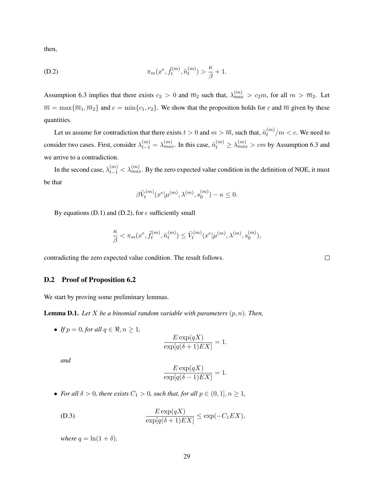then,

(D.2) 
$$
\pi_m(x^e, \hat{f}_t^{(m)}, \tilde{n}_t^{(m)}) > \frac{\kappa}{\beta} + 1.
$$

Assumption 6.3 implies that there exists  $c_2 > 0$  and  $\overline{m}_2$  such that,  $\lambda_{\max}^{(m)} > c_2 m$ , for all  $m > \overline{m}_2$ . Let  $\overline{m} = \max{\{\overline{m}_1, \overline{m}_2\}}$  and  $c = \min{\{c_1, c_2\}}$ . We show that the proposition holds for c and  $\overline{m}$  given by these quantities.

Let us assume for contradiction that there exists  $t > 0$  and  $m > \overline{m}$ , such that,  $\tilde{n}_t^{(m)}$  $\binom{m}{t}/m < c$ . We need to consider two cases. First, consider  $\lambda_{t-1}^{(m)} = \lambda_{max}^{(m)}$ . In this case,  $\tilde{n}_t^{(m)} \ge \lambda_{max}^{(m)} > cm$  by Assumption 6.3 and we arrive to a contradiction.

In the second case,  $\lambda_{t-1}^{(m)} < \lambda_{max}^{(m)}$ . By the zero expected value condition in the definition of NOE, it must be that

$$
\beta \tilde{V}_t^{(m)}(x^e|\mu^{(m)},\lambda^{(m)},s_0^{(m)})-\kappa\leq 0.
$$

By equations (D.1) and (D.2), for  $\epsilon$  sufficiently small

$$
\frac{\kappa}{\beta}<\pi_m(x^e,\tilde{f}_t^{(m)},\tilde{n}_t^{(m)})\leq \tilde{V}_t^{(m)}(x^e|\mu^{(m)},\lambda^{(m)},s_0^{(m)}),
$$

contradicting the zero expected value condition. The result follows.

#### D.2 Proof of Proposition 6.2

We start by proving some preliminary lemmas.

**Lemma D.1.** Let X be a binomial random variable with parameters  $(p, n)$ . Then,

• *If*  $p = 0$ *, for all*  $q \in \mathbb{R}, n \ge 1$ ,

$$
\frac{E \exp(qX)}{\exp[q(\delta+1)EX]} = 1.
$$

*and*

$$
\frac{E \exp(qX)}{\exp[q(\delta - 1)EX]} = 1.
$$

• *For all*  $\delta > 0$ *, there exists*  $C_1 > 0$ *, such that, for all*  $p \in (0,1], n \ge 1$ *,* 

(D.3) 
$$
\frac{E \exp(qX)}{\exp[q(\delta+1)EX]} \le \exp(-C_1 EX),
$$

*where*  $q = \ln(1 + \delta)$ *.* 

 $\Box$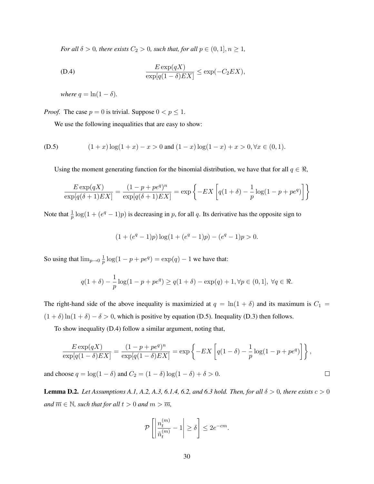*For all*  $\delta > 0$ *, there exists*  $C_2 > 0$ *, such that, for all*  $p \in (0, 1], n \ge 1$ *,* 

(D.4) 
$$
\frac{E \exp(qX)}{\exp[q(1-\delta)EX]} \le \exp(-C_2 EX),
$$

*where*  $q = \ln(1 - \delta)$ *.* 

*Proof.* The case  $p = 0$  is trivial. Suppose  $0 < p \le 1$ .

We use the following inequalities that are easy to show:

(D.5) 
$$
(1+x)\log(1+x) - x > 0 \text{ and } (1-x)\log(1-x) + x > 0, \forall x \in (0,1).
$$

Using the moment generating function for the binomial distribution, we have that for all  $q \in \Re$ ,

$$
\frac{E \exp(qX)}{\exp[q(\delta+1)EX]} = \frac{(1-p+pe^q)^n}{\exp[q(\delta+1)EX]} = \exp\left\{-EX\left[q(1+\delta)-\frac{1}{p}\log(1-p+pe^q)\right]\right\}
$$

Note that  $\frac{1}{p} \log(1 + (e^q - 1)p)$  is decreasing in p, for all q. Its derivative has the opposite sign to

$$
(1 + (eq - 1)p) \log(1 + (eq - 1)p) - (eq - 1)p > 0.
$$

So using that  $\lim_{p\to 0} \frac{1}{p}$  $\frac{1}{p} \log(1 - p + pe^q) = \exp(q) - 1$  we have that:

$$
q(1+\delta) - \frac{1}{p}\log(1-p + pe^q) \ge q(1+\delta) - \exp(q) + 1, \forall p \in (0,1], \forall q \in \Re.
$$

The right-hand side of the above inequality is maximizied at  $q = \ln(1 + \delta)$  and its maximum is  $C_1$  =  $(1 + \delta) \ln(1 + \delta) - \delta > 0$ , which is positive by equation (D.5). Inequality (D.3) then follows.

To show inequality (D.4) follow a similar argument, noting that,

$$
\frac{E \exp(qX)}{\exp[q(1-\delta)EX]} = \frac{(1-p+pe^q)^n}{\exp[q(1-\delta)EX]} = \exp\left\{-EX\left[q(1-\delta)-\frac{1}{p}\log(1-p+pe^q)\right]\right\},\,
$$

and choose  $q = \log(1 - \delta)$  and  $C_2 = (1 - \delta) \log(1 - \delta) + \delta > 0$ .

**Lemma D.2.** *Let Assumptions A.1, A.2, A.3, 6.1.4, 6.2, and 6.3 hold. Then, for all*  $\delta > 0$ *, there exists*  $c > 0$ *and*  $\overline{m} \in \mathbb{N}$ *, such that for all*  $t > 0$  *and*  $m > \overline{m}$ *,* 

$$
\mathcal{P}\left[\left|\frac{n_t^{(m)}}{\tilde{n}_t^{(m)}}-1\right|\geq \delta\right]\leq 2e^{-cm}.
$$

 $\Box$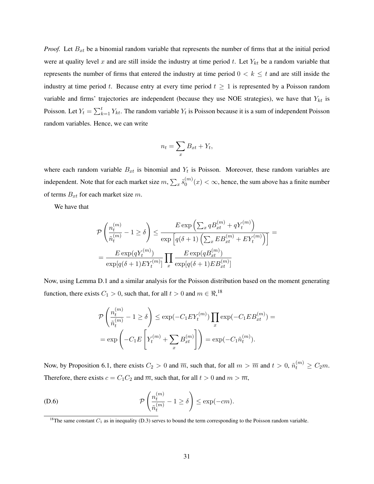*Proof.* Let  $B_{xt}$  be a binomial random variable that represents the number of firms that at the initial period were at quality level x and are still inside the industry at time period t. Let  $Y_{kt}$  be a random variable that represents the number of firms that entered the industry at time period  $0 < k \leq t$  and are still inside the industry at time period t. Because entry at every time period  $t \geq 1$  is represented by a Poisson random variable and firms' trajectories are independent (because they use NOE strategies), we have that  $Y_{kt}$  is Poisson. Let  $Y_t = \sum_{k=1}^t Y_{kt}$ . The random variable  $Y_t$  is Poisson because it is a sum of independent Poisson random variables. Hence, we can write

$$
n_t = \sum_x B_{xt} + Y_t,
$$

where each random variable  $B_{xt}$  is binomial and  $Y_t$  is Poisson. Moreover, these random variables are independent. Note that for each market size  $m, \sum_x \tilde{s}_0^{(m)}$  $\binom{m}{0}(x) < \infty$ , hence, the sum above has a finite number of terms  $B_{xt}$  for each market size m.

We have that

$$
\mathcal{P}\left(\frac{n_t^{(m)}}{\tilde{n}_t^{(m)}} - 1 \ge \delta\right) \le \frac{E \exp\left(\sum_x q B_{xt}^{(m)} + q Y_t^{(m)}\right)}{\exp\left[q(\delta+1)\left(\sum_x E B_{xt}^{(m)} + E Y_t^{(m)}\right)\right]} = \frac{E \exp(q Y_t^{(m)})}{\exp[q(\delta+1) E Y_t^{(m)}]} \prod_x \frac{E \exp(q B_{xt}^{(m)})}{\exp[q(\delta+1) E B_{xt}^{(m)}]}
$$

Now, using Lemma D.1 and a similar analysis for the Poisson distribution based on the moment generating function, there exists  $C_1 > 0$ , such that, for all  $t > 0$  and  $m \in \mathbb{R}^{18}$ ,

$$
\mathcal{P}\left(\frac{n_t^{(m)}}{\tilde{n}_t^{(m)}} - 1 \ge \delta\right) \le \exp(-C_1 E Y_t^{(m)}) \prod_x \exp(-C_1 E B_{xt}^{(m)}) =
$$
  
=  $\exp\left(-C_1 E\left[Y_t^{(m)} + \sum_x B_{xt}^{(m)}\right]\right) = \exp(-C_1 \tilde{n}_t^{(m)}).$ 

Now, by Proposition 6.1, there exists  $C_2 > 0$  and  $\overline{m}$ , such that, for all  $m > \overline{m}$  and  $t > 0$ ,  $\tilde{n}_t^{(m)} \ge C_2 m$ . Therefore, there exists  $c = C_1 C_2$  and  $\overline{m}$ , such that, for all  $t > 0$  and  $m > \overline{m}$ ,

(D.6) 
$$
\mathcal{P}\left(\frac{n_t^{(m)}}{\tilde{n}_t^{(m)}}-1\geq \delta\right)\leq \exp(-cm).
$$

<sup>&</sup>lt;sup>18</sup>The same constant  $C_1$  as in inequality (D.3) serves to bound the term corresponding to the Poisson random variable.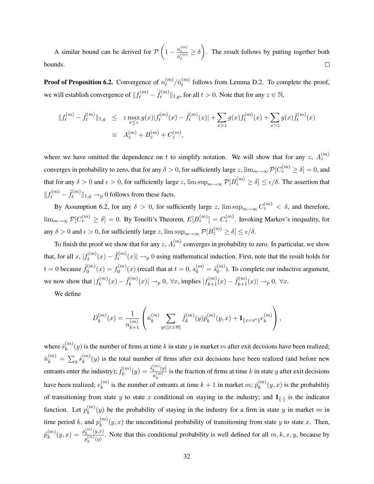A similar bound can be derived for  $\mathcal{P}\left(1-\frac{n_t^{(m)}}{n_t^{(m)}}\right)$  $\frac{n_t^{(m)}}{\tilde{n}_t^{(m)}} \ge \delta$ . The result follows by putting together both  $\Box$ bounds.

Proof of Proposition 6.2. Convergence of  $n_t^{(m)}$  $_{t}^{(m)}/\tilde{n}_{t}^{(m)}$  $t_t^{(m)}$  follows from Lemma D.2. To complete the proof, we will establish convergence of  $||f_t^{(m)} - \tilde{f}_t^{(m)}||$  $\mathcal{H}_t^{(m)} \|_{1,g}$ , for all  $t > 0$ . Note that for any  $z \in \mathbb{N}$ ,

$$
||f_t^{(m)} - \tilde{f}_t^{(m)}||_{1,g} \le z \max_{x \le z} g(x)|f_t^{(m)}(x) - \tilde{f}_t^{(m)}(x)| + \sum_{x > z} g(x)f_t^{(m)}(x) + \sum_{x > z} g(x)\tilde{f}_t^{(m)}(x)
$$
  

$$
\equiv A_z^{(m)} + B_z^{(m)} + C_z^{(m)},
$$

where we have omitted the dependence on t to simplify notation. We will show that for any  $z$ ,  $A_z^{(m)}$ converges in probability to zero, that for any  $\delta > 0$ , for sufficiently large z,  $\lim_{m\to\infty} \mathcal{P}[C_z^{(m)} \geq \delta] = 0$ , and that for any  $\delta > 0$  and  $\epsilon > 0$ , for sufficiently large z,  $\limsup_{m\to\infty} \mathcal{P}[B_z^{(m)} \ge \delta] \le \epsilon/\delta$ . The assertion that  $\Vert f_t^{(m)} - \tilde{f}_t^{(m)} \Vert$  $t_t^{(m)} \|_{1,g} \rightarrow_p 0$  follows from these facts.

By Assumption 6.2, for any  $\delta > 0$ , for sufficiently large z,  $\limsup_{m\to\infty} C_z^{(m)} < \delta$ , and therefore,  $\lim_{m\to\infty} \mathcal{P}[C_z^{(m)} \geq \delta] = 0$ . By Tonelli's Theorem,  $E[B_z^{(m)}] = C_z^{(m)}$ . Invoking Markov's inequality, for any  $\delta > 0$  and  $\epsilon > 0$ , for sufficiently large z,  $\limsup_{m \to \infty} \mathcal{P}[B_z^{(m)} \ge \delta] \le \epsilon/\delta$ .

To finish the proof we show that for any  $z$ ,  $A_z^{(m)}$  converges in probability to zero. In particular, we show that, for all  $x, |f_t^{(m)}|$  $f_t^{(m)}(x) - \tilde{f}_t^{(m)}$  $t_t^{(m)}(x) \rightarrow p 0$  using mathematical induction. First, note that the result holds for  $t=0$  because  $\tilde{f}_0^{(m)}$  $f_0^{(m)}(x) = f_0^{(m)}$  $\delta_0^{(m)}(x)$  (recall that at  $t=0, s_0^{(m)}=\tilde{s}_0^{(m)}$  $0^{(m)}$ ). To complete our inductive argument, we now show that  $|f_k^{(m)}|$  $f_k^{(m)}(x) - \tilde{f}_k^{(m)}$  $\mathcal{F}_k^{(m)}(x)$ | →  $_0$ ,  $\forall x$ , implies  $|f_{k+1}^{(m)}(x) - \tilde{f}_{k+1}^{(m)}(x)|$  →  $_0$ ,  $\forall x$ .

We define

$$
D_k^{(m)}(x) = \frac{1}{n_{k+1}^{(m)}} \left( \hat{n}_k^{(m)} \sum_{y \in [x \pm \overline{w}]} \hat{f}_k^{(m)}(y) \hat{p}_k^{(m)}(y, x) + \mathbf{1}_{\{x = x^e\}} e_k^{(m)} \right),
$$

where  $\hat{s}_{k}^{(m)}$  $k_k^{(m)}(y)$  is the number of firms at time k in state y in market m after exit decisions have been realized;  $\hat{n}^{(m)}_k \, = \, \sum_y \hat{s}^{(m)}_k$  $k_{k}^{(m)}(y)$  is the total number of firms after exit decisions have been realized (and before new entrants enter the industry);  $\hat{f}_k^{(m)}$  $\hat{s}_k^{(m)}(y) = \frac{\hat{s}_k^{(m)}(y)}{\hat{p}^{(m)}}$  $\frac{k \binom{y}{m}}{n_k^{(m)}}$  is the fraction of firms at time k in state y after exit decisions k have been realized;  $e_k^{(m)}$  $\hat{h}_k^{(m)}$  is the number of entrants at time  $k+1$  in market  $m$ ;  $\hat{p}_k^{(m)}$  $k^{(m)}(y, x)$  is the probability of transitioning from state y to state x conditional on staying in the industry; and  $1_{\{.\}}$  is the indicator function. Let  $p_k^{(m)}$  $k^{(m)}(y)$  be the probability of staying in the industry for a firm in state y in market m in time period k, and  $p_k^{(m)}$  $k_{k}^{(m)}(y,x)$  the unconditional probability of transitioning from state y to state x. Then,  $\hat{p}_{k}^{(m)}$  $\binom{m}{k}(y,x) = \frac{p_k^{(m)}(y,x)}{p^{(m)}(y,x)}$  $p_k^{(m)}(y)$ . Note that this conditional probability is well defined for all  $m, k, x, y$ , because by  $p_k^{(m)}(y)$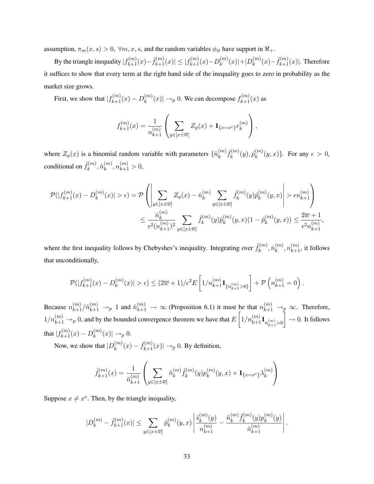assumption,  $\pi_m(x, s) > 0$ ,  $\forall m, x, s$ , and the random variables  $\phi_{it}$  have support in  $\Re_+$ .

By the triangle inequality  $|f_{k+1}^{(m)}(x) - \tilde{f}_{k+1}^{(m)}(x)| \leq |f_{k+1}^{(m)}(x) - D_k^{(m)}|$  ${k \choose k}(x)|+|D_k^{(m)}|$  ${k \choose k}(x) - \tilde{f}_{k+1}^{(m)}(x)$ . Therefore it suffices to show that every term at the right hand side of the inequality goes to zero in probability as the market size grows.

First, we show that  $|f_{k+1}^{(m)}(x) - D_k^{(m)}|$  $\binom{m}{k}(x) \rightarrow_p 0$ . We can decompose  $f_{k+1}^{(m)}(x)$  as

$$
f_{k+1}^{(m)}(x) = \frac{1}{n_{k+1}^{(m)}} \left( \sum_{y \in [x \pm \overline{w}]} Z_y(x) + \mathbf{1}_{\{x = x^e\}} e_k^{(m)} \right),
$$

where  $Z_y(x)$  is a binomial random variable with parameters  $\{\hat{n}_k^{(m)}\}$  $_{k}^{\left( m\right) }\hat{f}_{k}^{\left( m\right) }$  $\hat{p}_k^{(m)}(y), \hat{p}_k^{(m)}$  ${k^{(m)}(y,x)}$ . For any  $\epsilon > 0$ , conditional on  $\hat{f}_k^{(m)}$  $\hat{n}_{k}^{(m)}, \hat{n}_{k}^{(m)}$  $\binom{m}{k}, n \binom{m}{k+1} > 0,$ 

$$
\mathcal{P}(|f_{k+1}^{(m)}(x) - D_k^{(m)}(x)| > \epsilon) = \mathcal{P}\left(\left|\sum_{y \in [x \pm \overline{w}]} Z_y(x) - \hat{n}_k^{(m)} \sum_{y \in [x \pm \overline{w}]} \hat{f}_k^{(m)}(y)\hat{p}_k^{(m)}(y,x)\right| > \epsilon n_{k+1}^{(m)}\right)
$$

$$
\leq \frac{\hat{n}_k^{(m)}}{\epsilon^2 (n_{k+1}^{(m)})^2} \sum_{y \in [x \pm \overline{w}]} \hat{f}_k^{(m)}(y)\hat{p}_k^{(m)}(y,x)(1-\hat{p}_k^{(m)}(y,x)) \leq \frac{2\overline{w} + 1}{\epsilon^2 n_{k+1}^{(m)}},
$$

where the first inequality follows by Chebyshev's inequality. Integrating over  $\hat{f}_k^{(m)}$  $\hat{n}_{k}^{(m)}, \hat{n}_{k}^{(m)}$  $\binom{m}{k},n_{k+1}^{(m)},$  it follows that unconditionally,

$$
\mathcal{P}(|f_{k+1}^{(m)}(x) - D_k^{(m)}(x)| > \epsilon) \le (2\overline{w} + 1)/\epsilon^2 E\left[1/n_{k+1}^{(m)}\mathbf{1}_{\{n_{k+1}^{(m)} > 0\}}\right] + \mathcal{P}\left(n_{k+1}^{(m)} = 0\right)
$$

.

Because  $n_{k+1}^{(m)}/\tilde{n}_{k+1}^{(m)} \to 1$  and  $\tilde{n}_{k+1}^{(m)} \to \infty$  (Proposition 6.1) it must be that  $n_{k+1}^{(m)} \to p \infty$ . Therefore,  $1/n_{k+1}^{(m)} \to p 0$ , and by the bounded convergence theorem we have that  $E\left[1/n_{k+1}^{(m)}\mathbf{1}_{n_{k+1}^{(m)}>0}\right]$  $\Big] \rightarrow 0.$  It follows that  $|f_{k+1}^{(m)}(x) - D_k^{(m)}|$  $_{k}^{(m)}(x)| \rightarrow_{p} 0.$ 

Now, we show that  $|D_k^{(m)}|$  $\binom{m}{k}(x) - \tilde{f}_{k+1}^{(m)}(x) \rightarrow p 0$ . By definition,

$$
\tilde{f}_{k+1}^{(m)}(x) = \frac{1}{\tilde{n}_{k+1}^{(m)}} \left( \sum_{y \in [x \pm \overline{w}]} \tilde{n}_k^{(m)} \tilde{f}_k^{(m)}(y) p_k^{(m)}(y, x) + \mathbf{1}_{\{x = x^e\}} \lambda_k^{(m)} \right)
$$

Suppose  $x \neq x^e$ . Then, by the triangle inequality,

$$
|D_k^{(m)} - \tilde{f}_{k+1}^{(m)}(x)| \le \sum_{y \in [x \pm \overline{w}]} \hat{p}_k^{(m)}(y,x) \left| \frac{\hat{s}_k^{(m)}(y)}{n_{k+1}^{(m)}} - \frac{\tilde{n}_k^{(m)} \tilde{f}_k^{(m)}(y) p_k^{(m)}(y)}{\tilde{n}_{k+1}^{(m)}} \right|.
$$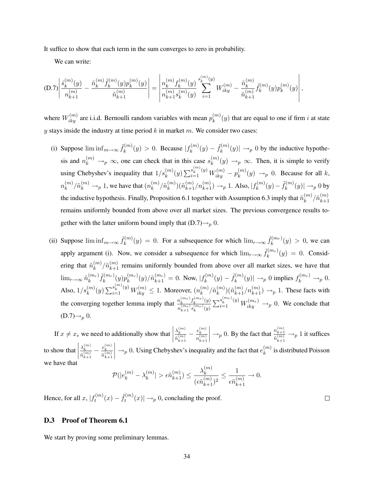It suffice to show that each term in the sum converges to zero in probability.

We can write:

$$
(D.7)\left|\frac{\hat{s}_{k}^{(m)}(y)}{n_{k+1}^{(m)}} - \frac{\tilde{n}_{k}^{(m)}\tilde{f}_{k}^{(m)}(y)p_{k}^{(m)}(y)}{\tilde{n}_{k+1}^{(m)}}\right| = \left|\frac{n_{k}^{(m)}f_{k}^{(m)}(y)}{n_{k+1}^{(m)}s_{k}^{(m)}(y)}\sum_{i=1}^{s_{k}^{(m)}(y)}W_{iky}^{(m)} - \frac{\tilde{n}_{k}^{(m)}}{\tilde{n}_{k+1}^{(m)}}\tilde{f}_{k}^{(m)}(y)p_{k}^{(m)}(y)\right|,
$$

where  $W_{iky}^{(m)}$  are i.i.d. Bernoulli random variables with mean  $p_k^{(m)}$  $\binom{m}{k}(y)$  that are equal to one if firm *i* at state  $y$  stays inside the industry at time period  $k$  in market  $m$ . We consider two cases:

- (i) Suppose  $\liminf_{m \to \infty} \tilde{f}_k^{(m)}$  $k_k^{(m)}(y) > 0$ . Because  $|f_k^{(m)}|$  $f_k^{(m)}(y) - \tilde{f}_k^{(m)}$  $\mathcal{L}_{k}^{(m)}(y)$   $\rightarrow_{p} 0$  by the inductive hypothesis and  $n_k^{(m)} \rightarrow_p \infty$ , one can check that in this case  $s_k^{(m)}$  $\binom{m}{k}(y) \rightarrow_p \infty$ . Then, it is simple to verify using Chebyshev's inequality that  $1/s_k^{(m)}(y) \sum_{i=1}^{s_k^{(m)}(y)} W_{iky}^{(m)} - p_k^{(m)}$  $\binom{m}{k}(y) \rightarrow_p 0$ . Because for all k,  $n_k^{(m)}$  ${k \choose k} / \tilde{n}_k^{(m)} \rightarrow_p 1$ , we have that  $(n_k^{(m)})$  $_{k}^{(m)}/\tilde{n}_{k}^{(m)}$  ${k \choose k} (\tilde{n}_{k+1}^{(m)}/n_{k+1}^{(m)}) \to_p 1$ . Also,  $|f_k^{(m)}|$  $f_k^{(m)}(y) - \tilde{f}_k^{(m)}$  $\mathfrak{h}^{(m)}_k(y)\vert \rightarrow_p 0$  by the inductive hypothesis. Finally, Proposition 6.1 together with Assumption 6.3 imply that  $\tilde{n}_k^{(m)}$  $_{k}^{(m)}/\tilde{n}_{k+1}^{(m)}$  $k+1$ remains uniformly bounded from above over all market sizes. The previous convergence results together with the latter uniform bound imply that  $(D.7) \rightarrow p 0$ .
- (ii) Suppose  $\liminf_{m\to\infty} \tilde{f}_k^{(m)}$  $f_k^{(m)}(y) = 0$ . For a subsequence for which  $\lim_{r \to \infty} \tilde{f}_k^{(m_r)}$  $\kappa^{(m_r)}(y) > 0$ , we can apply argument (i). Now, we consider a subsequence for which  $\lim_{r\to\infty} \tilde{f}_k^{(m_r)}$  $k^{(m_r)}(y) = 0$ . Considering that  $\tilde{n}_k^{(m)}$  ${k \choose k}/\tilde{n}_{k+1}^{(m)}$  remains uniformly bounded from above over all market sizes, we have that  $\lim_{r\to\infty} \tilde n_k^{(m_r)}$  $_{k}^{(m_{r})} \tilde{f}_{k}^{(m_{r})}$  $\tilde{k}_k^{(m_r)}(y) p_k^{(m_r)}$  $\binom{(m_r)}{k}(y)/\tilde{n}^{(m_r)}_{k+1} = 0$ . Now,  $|f_k^{(m)}|$  $f_k^{(m)}(y) - \tilde{f}_k^{(m)}$  $f_k^{(m)}(y) \rightarrow_p 0$  implies  $f_k^{(m_r)} \rightarrow_p 0$ . Also,  $1/s_k^{(m)}(y) \sum_{i=1}^{s_k^{(m)}(y)} W_{iky}^{(m)} \le 1$ . Moreover,  $(n_k^{(m)})$  $_{k}^{(m)}/\tilde{n}_{k}^{(m)}$  ${k \choose k} (\tilde{n}_{k+1}^{(m)}/n_{k+1}^{(m)}) \rightarrow_p 1$ . These facts with the converging together lemma imply that  $\frac{n_k^{(m_r)} f_k^{(m_r)}(y)}{\binom{m_r}{m_r}}$  $\frac{n_k^{(m_r)} f_k^{(m_r)}(y)}{n_{k+1}^{(m_r)} s_k^{(m_r)}(y)} \sum_{i=1}^{s_k^{(m_r)}(y)} W_{iky}^{(m_r)} \to_p 0$ . We conclude that  $(D.7) \rightarrow_p 0$ .

If  $x \neq x_e$  we need to additionally show that  $\lambda_k^{(m)}$  $\tilde{n}_{k+1}^{(m)}$  $-\frac{e_k^{(m)}}{(m)}$  $n_{k+1}^{(m)}$  $\bigg| \rightarrow_p 0$ . By the fact that  $\frac{n_{k+1}^{(m)}}{\tilde{n}_{k+1}^{(m)}}$  $\frac{n_{k+1}}{\tilde{n}_{k+1}^{(m)}} \rightarrow_p 1$  it suffices to show that  $\begin{array}{c} \hline \end{array}$  $\lambda_k^{(m)}$  $\tilde{n}_{k+1}^{(m)}$  $-\frac{e_k^{(m)}}{e_m^{(m)}}$  $\tilde{n}_{k+1}^{(m)}$  $\Big|\rightarrow_p 0$ . Using Chebyshev's inequality and the fact that  $e_k^{(m)}$  $\binom{m}{k}$  is distributed Poisson we have that

$$
\mathcal{P}(|e_k^{(m)}-\lambda_k^{(m)}|>\epsilon \tilde n_{k+1}^{(m)})\leq \frac{\lambda_k^{(m)}}{(\epsilon \tilde n_{k+1}^{(m)})^2}\leq \frac{1}{\epsilon \tilde n_{k+1}^{(m)}}\rightarrow 0.
$$

Hence, for all  $x, |f_t^{(m)}|$  $f_t^{(m)}(x) - \tilde{f}_t^{(m)}$  $t_t^{(m)}(x) \rightarrow_p 0$ , concluding the proof.

 $\Box$ 

## D.3 Proof of Theorem 6.1

We start by proving some preliminary lemmas.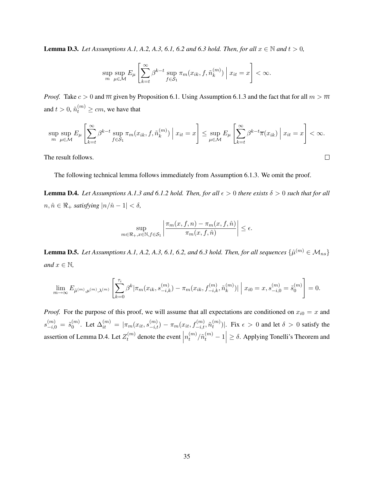**Lemma D.3.** *Let Assumptions A.1, A.2, A.3, 6.1, 6.2 and 6.3 hold. Then, for all*  $x \in \mathbb{N}$  *and*  $t > 0$ *,* 

$$
\sup_{m} \sup_{\mu \in \mathcal{M}} E_{\mu} \left[ \sum_{k=t}^{\infty} \beta^{k-t} \sup_{f \in \mathcal{S}_1} \pi_m(x_{ik}, f, \tilde{n}_k^{(m)}) \mid x_{it} = x \right] < \infty.
$$

*Proof.* Take  $c > 0$  and  $\overline{m}$  given by Proposition 6.1. Using Assumption 6.1.3 and the fact that for all  $m > \overline{m}$ and  $t > 0$ ,  $\tilde{n}_t^{(m)} \ge cm$ , we have that

$$
\sup_{m} \sup_{\mu \in \mathcal{M}} E_{\mu} \left[ \sum_{k=t}^{\infty} \beta^{k-t} \sup_{f \in \mathcal{S}_1} \pi_m(x_{ik}, f, \tilde{n}_k^{(m)}) \middle| x_{it} = x \right] \le \sup_{\mu \in \mathcal{M}} E_{\mu} \left[ \sum_{k=t}^{\infty} \beta^{k-t} \overline{\pi}(x_{ik}) \middle| x_{it} = x \right] < \infty.
$$

 $\Box$ 

The result follows.

The following technical lemma follows immediately from Assumption 6.1.3. We omit the proof.

**Lemma D.4.** *Let Assumptions A.1.3 and 6.1.2 hold. Then, for all*  $\epsilon > 0$  *there exists*  $\delta > 0$  *such that for all*  $n, \hat{n}$  ∈  $\Re$ <sub>+</sub> *satisfying*  $|n/\hat{n} - 1| < \delta$ ,

$$
\sup_{m \in \Re_+, x \in \mathbb{N}, f \in \mathcal{S}_1} \left| \frac{\pi_m(x, f, n) - \pi_m(x, f, \hat{n})}{\pi_m(x, f, \hat{n})} \right| \le \epsilon.
$$

**Lemma D.5.** Let Assumptions A.1, A.2, A.3, 6.1, 6.2, and 6.3 hold. Then, for all sequences  $\{\hat{\mu}^{(m)} \in \mathcal{M}_{ns}\}$ *and*  $x \in \mathbb{N}$ ,

$$
\lim_{m \to \infty} E_{\hat{\mu}^{(m)}, \mu^{(m)}, \lambda^{(m)}} \left[ \sum_{k=0}^{\tau_i} \beta^k |\pi_m(x_{ik}, s_{-i,k}^{(m)}) - \pi_m(x_{ik}, f_{-i,k}^{(m)}, \tilde{n}_k^{(m)})| \right] x_{i0} = x, s_{-i,0}^{(m)} = \tilde{s}_0^{(m)} \right] = 0.
$$

*Proof.* For the purpose of this proof, we will assume that all expectations are conditioned on  $x_{i0} = x$  and  $s_{-i,0}^{(m)}\,=\,\tilde{s}_0^{(m)}$  $\hat{\theta}_0^{(m)}$ . Let  $\Delta_{it}^{(m)} \, = \, |\pi_m(x_{it},s_{-i,t}^{(m)}) - \pi_m(x_{it},f_{-i,t}^{(m)},\tilde{n}_t^{(m)})|$  $\binom{m}{t}$ . Fix  $\epsilon > 0$  and let  $\delta > 0$  satisfy the assertion of Lemma D.4. Let  $Z_t^{(m)}$  $t_t^{(m)}$  denote the event  $\Big|$  $n_t^{(m)}$  $\left| \binom{m}{t} / \tilde{n}_t^{(m)} - 1 \right| \ge \delta$ . Applying Tonelli's Theorem and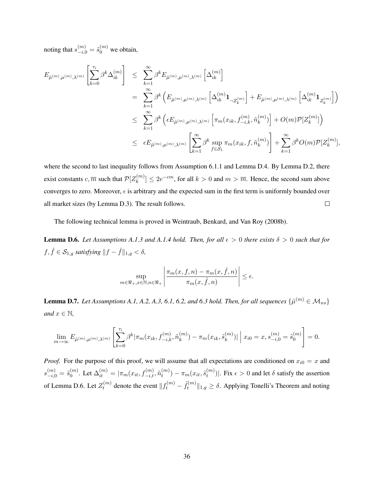noting that  $s_{-i,0}^{(m)} = \tilde{s}_0^{(m)}$  we obtain,

$$
E_{\hat{\mu}^{(m)},\mu^{(m)},\lambda^{(m)}}\left[\sum_{k=0}^{\tau_{i}}\beta^{k}\Delta_{ik}^{(m)}\right] \leq \sum_{k=1}^{\infty}\beta^{k}E_{\hat{\mu}^{(m)},\mu^{(m)},\lambda^{(m)}}\left[\Delta_{ik}^{(m)}\right]
$$
  
\n
$$
= \sum_{k=1}^{\infty}\beta^{k}\left(E_{\hat{\mu}^{(m)},\mu^{(m)},\lambda^{(m)}}\left[\Delta_{ik}^{(m)}\mathbf{1}_{\neg Z_{k}^{(m)}}\right] + E_{\hat{\mu}^{(m)},\mu^{(m)},\lambda^{(m)}}\left[\Delta_{ik}^{(m)}\mathbf{1}_{Z_{k}^{(m)}}\right]\right)
$$
  
\n
$$
\leq \sum_{k=1}^{\infty}\beta^{k}\left(\epsilon E_{\hat{\mu}^{(m)},\mu^{(m)},\lambda^{(m)}}\left[\pi_{m}(x_{ik},f_{-i,k}^{(m)},\tilde{n}_{k}^{(m)})\right] + O(m)\mathcal{P}[Z_{k}^{(m)}]\right)
$$
  
\n
$$
\leq \epsilon E_{\hat{\mu}^{(m)},\mu^{(m)},\lambda^{(m)}}\left[\sum_{k=1}^{\infty}\beta^{k}\sup_{f\in\mathcal{S}_{1}}\pi_{m}(x_{ik},f,\tilde{n}_{k}^{(m)})\right] + \sum_{k=1}^{\infty}\beta^{k}O(m)\mathcal{P}[Z_{k}^{(m)}],
$$

where the second to last inequality follows from Assumption 6.1.1 and Lemma D.4. By Lemma D.2, there exist constants  $c, \overline{m}$  such that  $\mathcal{P}[Z_k^{(m)}]$  ${k \choose k} \leq 2e^{-cm}$ , for all  $k > 0$  and  $m > \overline{m}$ . Hence, the second sum above converges to zero. Moreover,  $\epsilon$  is arbitrary and the expected sum in the first term is uniformly bounded over  $\Box$ all market sizes (by Lemma D.3). The result follows.

The following technical lemma is proved in Weintraub, Benkard, and Van Roy (2008b).

**Lemma D.6.** Let Assumptions A.1.3 and A.1.4 hold. Then, for all  $\epsilon > 0$  there exists  $\delta > 0$  such that for  $f, \hat{f} \in \mathcal{S}_{1,g}$  *satisfying*  $||f - \hat{f}||_{1,g} < \delta$ *,* 

$$
\sup_{m \in \mathbb{R}_+, x \in \mathbb{N}, n \in \mathbb{R}_+} \left| \frac{\pi_m(x, f, n) - \pi_m(x, \hat{f}, n)}{\pi_m(x, \hat{f}, n)} \right| \le \epsilon.
$$

**Lemma D.7.** Let Assumptions A.1, A.2, A.3, 6.1, 6.2, and 6.3 hold. Then, for all sequences  $\{\hat{\mu}^{(m)} \in \mathcal{M}_{ns}\}$ *and*  $x \in \mathbb{N}$ *,* 

$$
\lim_{m \to \infty} E_{\hat{\mu}^{(m)}, \mu^{(m)}, \lambda^{(m)}} \left[ \sum_{k=0}^{\tau_i} \beta^k |\pi_m(x_{ik}, f_{-i,k}^{(m)}, \tilde{n}_k^{(m)}) - \pi_m(x_{ik}, \tilde{s}_k^{(m)})| \right] x_{i0} = x, s_{-i,0}^{(m)} = \tilde{s}_0^{(m)} \right] = 0.
$$

*Proof.* For the purpose of this proof, we will assume that all expectations are conditioned on  $x_{i0} = x$  and  $s_{-i,0}^{(m)}=\tilde{s}_0^{(m)}$  $\mathcal{O}_0^{(m)}.$  Let  $\Delta_{it}^{(m)}=|\pi_m(x_{it},f_{-i,t}^{(m)},\tilde{n}_t^{(m)}|)$  $\binom{m}{t}-\pi_m(x_{it},\tilde{s}^{(m)}_t)$  $\binom{m}{t}$ . Fix  $\epsilon > 0$  and let  $\delta$  satisfy the assertion of Lemma D.6. Let  $Z_t^{(m)}$  $t_t^{(m)}$  denote the event  $|| f_t^{(m)} - \tilde{f}_t^{(m)}||$  $\mathcal{H}_t^{(m)} \|_{1,g} \ge \delta$ . Applying Tonelli's Theorem and noting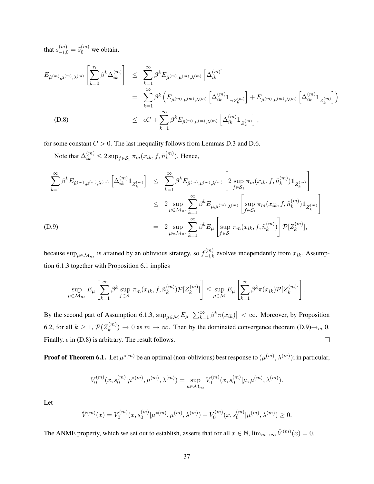that  $s_{-i,0}^{(m)} = \tilde{s}_0^{(m)}$  we obtain,

$$
E_{\hat{\mu}^{(m)},\mu^{(m)},\lambda^{(m)}}\left[\sum_{k=0}^{\tau_{i}}\beta^{k}\Delta_{ik}^{(m)}\right] \leq \sum_{k=1}^{\infty}\beta^{k}E_{\hat{\mu}^{(m)},\mu^{(m)},\lambda^{(m)}}\left[\Delta_{ik}^{(m)}\right]
$$
  
\n
$$
= \sum_{k=1}^{\infty}\beta^{k}\left(E_{\hat{\mu}^{(m)},\mu^{(m)},\lambda^{(m)}}\left[\Delta_{ik}^{(m)}\mathbf{1}_{\mathcal{Z}_{k}^{(m)}}\right] + E_{\hat{\mu}^{(m)},\mu^{(m)},\lambda^{(m)}}\left[\Delta_{ik}^{(m)}\mathbf{1}_{Z_{k}^{(m)}}\right]\right)
$$
  
\n(D.8)  
\n
$$
\leq \epsilon C + \sum_{k=1}^{\infty}\beta^{k}E_{\hat{\mu}^{(m)},\mu^{(m)},\lambda^{(m)}}\left[\Delta_{ik}^{(m)}\mathbf{1}_{Z_{k}^{(m)}}\right],
$$

for some constant  $C > 0$ . The last inequality follows from Lemmas D.3 and D.6.

Note that  $\Delta_{ik}^{(m)} \leq 2 \sup_{f \in \mathcal{S}_1} \pi_m(x_{ik}, f, \tilde{n}_k^{(m)}$  $\binom{m}{k}$ . Hence,

$$
\sum_{k=1}^{\infty} \beta^{k} E_{\hat{\mu}^{(m)}, \mu^{(m)}, \lambda^{(m)}} \left[ \Delta_{ik}^{(m)} \mathbf{1}_{Z_{k}^{(m)}} \right] \leq \sum_{k=1}^{\infty} \beta^{k} E_{\hat{\mu}^{(m)}, \mu^{(m)}, \lambda^{(m)}} \left[ 2 \sup_{f \in \mathcal{S}_{1}} \pi_{m}(x_{ik}, f, \tilde{n}_{k}^{(m)}) \mathbf{1}_{Z_{k}^{(m)}} \right]
$$
\n
$$
\leq 2 \sup_{\mu \in \mathcal{M}_{ns}} \sum_{k=1}^{\infty} \beta^{k} E_{\mu, \mu^{(m)}, \lambda^{(m)}} \left[ \sup_{f \in \mathcal{S}_{1}} \pi_{m}(x_{ik}, f, \tilde{n}_{k}^{(m)}) \mathbf{1}_{Z_{k}^{(m)}} \right]
$$
\n(D.9)\n
$$
= 2 \sup_{\mu \in \mathcal{M}_{ns}} \sum_{k=1}^{\infty} \beta^{k} E_{\mu} \left[ \sup_{f \in \mathcal{S}_{1}} \pi_{m}(x_{ik}, f, \tilde{n}_{k}^{(m)}) \right] \mathcal{P}[Z_{k}^{(m)}],
$$

because  $\sup_{\mu \in \mathcal{M}_{ns}}$  is attained by an oblivious strategy, so  $f_{-i,k}^{(m)}$  evolves independently from  $x_{ik}$ . Assumption 6.1.3 together with Proposition 6.1 implies

$$
\sup_{\mu \in \mathcal{M}_{ns}} E_{\mu} \left[ \sum_{k=1}^{\infty} \beta^k \sup_{f \in \mathcal{S}_1} \pi_m(x_{ik}, f, \tilde{n}_k^{(m)}) \mathcal{P}[Z_k^{(m)}] \right] \leq \sup_{\mu \in \mathcal{M}} E_{\mu} \left[ \sum_{k=1}^{\infty} \beta^k \overline{\pi}(x_{ik}) \mathcal{P}[Z_k^{(m)}] \right].
$$

By the second part of Assumption 6.1.3,  $\sup_{\mu \in \mathcal{M}} E_{\mu} \left[ \sum_{k=1}^{\infty} \beta^k \overline{\pi}(x_{ik}) \right] < \infty$ . Moreover, by Proposition 6.2, for all  $k \geq 1$ ,  $\mathcal{P}(Z_k^{(m)})$  $(k_n^{(m)}) \to 0$  as  $m \to \infty$ . Then by the dominated convergence theorem  $(D.9) \to m 0$ . Finally,  $\epsilon$  in (D.8) is arbitrary. The result follows.  $\Box$ 

**Proof of Theorem 6.1.** Let  $\mu^{*(m)}$  be an optimal (non-oblivious) best response to  $(\mu^{(m)}, \lambda^{(m)})$ ; in particular,

$$
V_0^{(m)}(x,s_0^{(m)}|\mu^{*(m)},\mu^{(m)},\lambda^{(m)})=\sup_{\mu\in\mathcal{M}_{ns}}V_0^{(m)}(x,s_0^{(m)}|\mu,\mu^{(m)},\lambda^{(m)}).
$$

Let

$$
\hat{V}^{(m)}(x) = V_0^{(m)}(x, s_0^{(m)} | \mu^{*(m)}, \mu^{(m)}, \lambda^{(m)}) - V_0^{(m)}(x, s_0^{(m)} | \mu^{(m)}, \lambda^{(m)}) \ge 0.
$$

The ANME property, which we set out to establish, asserts that for all  $x \in \mathbb{N}$ ,  $\lim_{m \to \infty} \hat{V}^{(m)}(x) = 0$ .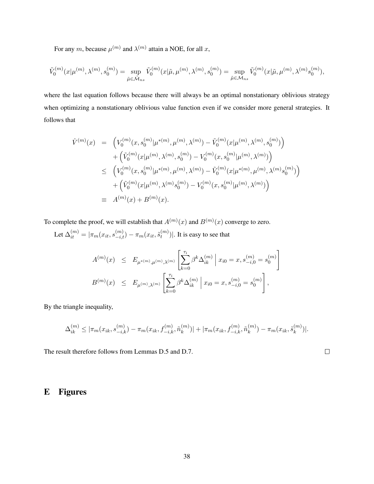For any m, because  $\mu^{(m)}$  and  $\lambda^{(m)}$  attain a NOE, for all x,

$$
\tilde{V}_0^{(m)}(x|\mu^{(m)},\lambda^{(m)},s_0^{(m)})=\sup_{\tilde{\mu}\in \tilde{\mathcal{M}}_{ns}}\tilde{V}_0^{(m)}(x|\tilde{\mu},\mu^{(m)},\lambda^{(m)},s_0^{(m)})=\sup_{\tilde{\mu}\in \mathcal{M}_{ns}}\tilde{V}_0^{(m)}(x|\tilde{\mu},\mu^{(m)},\lambda^{(m)}s_0^{(m)}),
$$

where the last equation follows because there will always be an optimal nonstationary oblivious strategy when optimizing a nonstationary oblivious value function even if we consider more general strategies. It follows that

$$
\hat{V}^{(m)}(x) = \left( V_0^{(m)}(x, s_0^{(m)} | \mu^{*(m)}, \mu^{(m)}, \lambda^{(m)}) - \tilde{V}_0^{(m)}(x | \mu^{(m)}, \lambda^{(m)}, s_0^{(m)}) \right) \n+ \left( \tilde{V}_0^{(m)}(x | \mu^{(m)}, \lambda^{(m)}, s_0^{(m)}) - V_0^{(m)}(x, s_0^{(m)} | \mu^{(m)}, \lambda^{(m)}) \right) \n\leq \left( V_0^{(m)}(x, s_0^{(m)} | \mu^{*(m)}, \mu^{(m)}, \lambda^{(m)}) - \tilde{V}_0^{(m)}(x | \mu^{*(m)}, \mu^{(m)}, \lambda^{(m)}, s_0^{(m)}) \right) \n+ \left( \tilde{V}_0^{(m)}(x | \mu^{(m)}, \lambda^{(m)}, s_0^{(m)}) - V_0^{(m)}(x, s_0^{(m)} | \mu^{(m)}, \lambda^{(m)}) \right) \n\equiv A^{(m)}(x) + B^{(m)}(x).
$$

To complete the proof, we will establish that  $A^{(m)}(x)$  and  $B^{(m)}(x)$  converge to zero.

Let  $\Delta_{it}^{(m)}=|\pi_m(x_{it},s_{-i,t}^{(m)})-\pi_m(x_{it},\tilde{s}_t^{(m)})$  $\binom{m}{t}$ . It is easy to see that

$$
A^{(m)}(x) \leq E_{\mu^{*(m)},\mu^{(m)},\lambda^{(m)}} \left[ \sum_{k=0}^{\tau_i} \beta^k \Delta_{ik}^{(m)} \middle| x_{i0} = x, s_{-i,0}^{(m)} = s_0^{(m)} \right]
$$
  

$$
B^{(m)}(x) \leq E_{\mu^{(m)},\lambda^{(m)}} \left[ \sum_{k=0}^{\tau_i} \beta^k \Delta_{ik}^{(m)} \middle| x_{i0} = x, s_{-i,0}^{(m)} = s_0^{(m)} \right],
$$

By the triangle inequality,

$$
\Delta_{ik}^{(m)} \leq |\pi_m(x_{ik}, s_{-i,k}^{(m)}) - \pi_m(x_{ik}, f_{-i,k}^{(m)}, \tilde{n}_k^{(m)})| + |\pi_m(x_{ik}, f_{-i,k}^{(m)}, \tilde{n}_k^{(m)}) - \pi_m(x_{ik}, \tilde{s}_k^{(m)})|.
$$

The result therefore follows from Lemmas D.5 and D.7.

$$
\Box
$$

# E Figures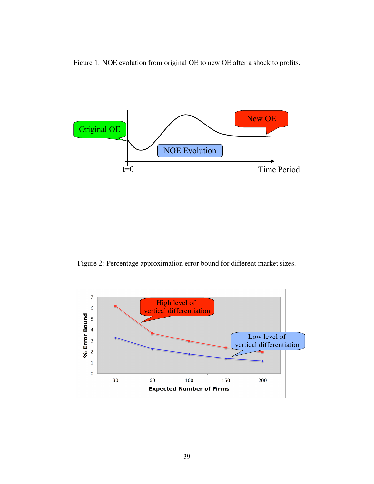Figure 1: NOE evolution from original OE to new OE after a shock to profits.



Figure 2: Percentage approximation error bound for different market sizes.

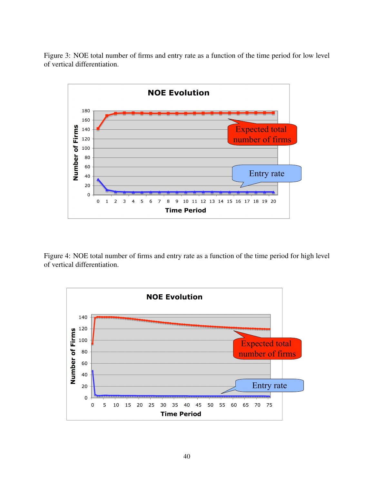Figure 3: NOE total number of firms and entry rate as a function of the time period for low level of vertical differentiation.



Figure 4: NOE total number of firms and entry rate as a function of the time period for high level of vertical differentiation.